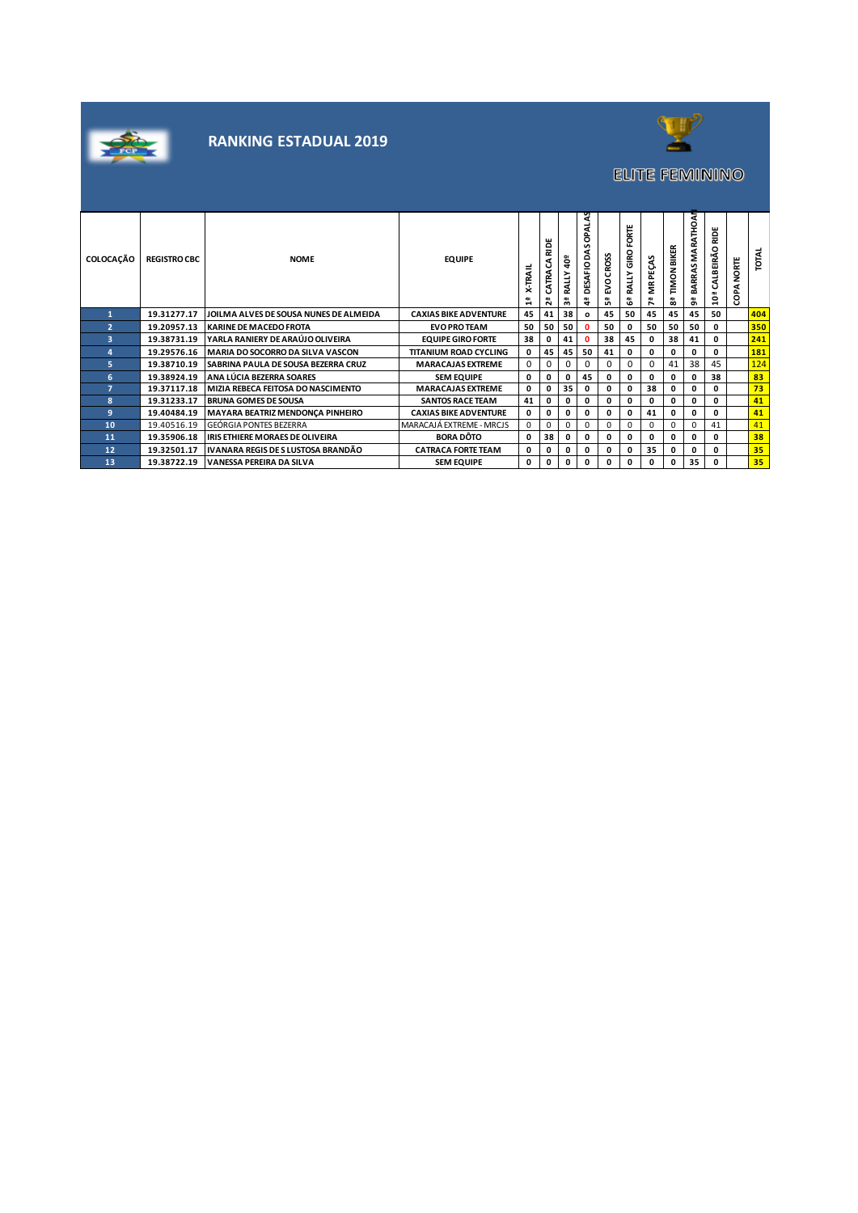



# **ELITE FEMININO**

| <b>COLOCAÇÃO</b> | <b>REGISTRO CBC</b> | <b>NOME</b>                                | <b>EQUIPE</b>                | <b>X-TRAIL</b><br>н | ш<br>$\Omega$<br>ᇎ<br>Ê<br>$\sim$ | åb<br>≨<br>୍ଲ | 2<br>o<br>s<br>۵<br>DESAFIO<br>₩ | EVOCROSS<br>똆 | FORTE<br>GIRO<br><b>RALLY</b><br>ឹ | PEÇAS<br>Ĕ | <b>TIMON BIKER</b><br>a<br>8 | MARATHOAN<br>BARRAS<br>െ | ш<br>읉<br>$\circ$<br><b>ALBEIRA</b><br>ت<br>្អ | <b>NORTE</b><br>COPA | TOTAL |
|------------------|---------------------|--------------------------------------------|------------------------------|---------------------|-----------------------------------|---------------|----------------------------------|---------------|------------------------------------|------------|------------------------------|--------------------------|------------------------------------------------|----------------------|-------|
|                  | 19.31277.17         | JOILMA ALVES DE SOUSA NUNES DE ALMEIDA     | <b>CAXIAS BIKE ADVENTURE</b> | 45                  | 41                                | 38            | $\mathbf{o}$                     | 45            | 50                                 | 45         | 45                           | 45                       | 50                                             |                      | 404   |
| $\overline{2}$   | 19.20957.13         | <b>KARINE DE MACEDO FROTA</b>              | <b>EVO PRO TEAM</b>          | 50                  | 50                                | 50            | $\Omega$                         | 50            | 0                                  | 50         | 50                           | 50                       | n.                                             |                      | 350   |
| 3                | 19.38731.19         | IYARLA RANIERY DE ARAÚJO OLIVEIRA          | <b>EQUIPE GIRO FORTE</b>     | 38                  | 0                                 | 41            | 0                                | 38            | 45                                 | 0          | 38                           | 41                       | 0                                              |                      | 241   |
| 4                | 19.29576.16         | MARIA DO SOCORRO DA SILVA VASCON           | <b>TITANIUM ROAD CYCLING</b> | 0                   | 45                                | 45            | 50                               | 41            | 0                                  | 0          | 0                            | 0                        | 0                                              |                      | 181   |
| 5                | 19.38710.19         | <b>SABRINA PAULA DE SOUSA BEZERRA CRUZ</b> | <b>MARACAJAS EXTREME</b>     | 0                   |                                   | 0             | $\Omega$                         | 0             | 0                                  | 0          | 41                           | 38                       | 45                                             |                      | 124   |
| 6                | 19.38924.19         | ANA LÚCIA BEZERRA SOARES                   | <b>SEM EQUIPE</b>            | 0                   | 0                                 | 0             | 45                               | 0             | 0                                  | 0          | 0                            | 0                        | 38                                             |                      | 83    |
| $\overline{ }$   | 19.37117.18         | MIZIA REBECA FEITOSA DO NASCIMENTO         | <b>MARACAJAS EXTREME</b>     | 0                   | 0                                 | 35            | 0                                | 0             | 0                                  | 38         | 0                            | 0                        | n.                                             |                      | 73    |
| 8                | 19.31233.17         | <b>BRUNA GOMES DE SOUSA</b>                | <b>SANTOS RACE TEAM</b>      | 41                  | 0                                 |               | 0                                | 0             | 0                                  | 0          | 0                            | 0                        | 0                                              |                      | 41    |
| 9                | 19.40484.19         | <b>MAYARA BEATRIZ MENDONÇA PINHEIRO</b>    | <b>CAXIAS BIKE ADVENTURE</b> | 0                   | 0                                 | 0             | 0                                | 0             | 0                                  | 41         | 0                            | 0                        | 0                                              |                      | 41    |
| 10               | 19.40516.19         | <b>GEÓRGIA PONTES BEZERRA</b>              | MARACAJÁ EXTREME - MRCJS     | $\Omega$            | 0                                 | $\Omega$      | 0                                | $\Omega$      | $\Omega$                           | 0          | $\Omega$                     | 0                        | 41                                             |                      | 41    |
| 11               | 19.35906.18         | <b>IRIS ETHIERE MORAES DE OLIVEIRA</b>     | <b>BORA DÔTO</b>             | 0                   | 38                                |               | 0                                | 0             | 0                                  | 0          | 0                            | 0                        | n.                                             |                      | 38    |
| 12               | 19.32501.17         | I IVANARA REGIS DE S LUSTOSA BRANDÃO       | <b>CATRACA FORTE TEAM</b>    | 0                   | 0                                 |               | 0                                | 0             | 0                                  | 35         | 0                            | 0                        | O.                                             |                      | 35    |
| 13               | 19.38722.19         | VANESSA PEREIRA DA SILVA                   | <b>SEM EQUIPE</b>            | 0                   | 0                                 | 0             | 0                                | 0             | 0                                  | 0          | 0                            | 35                       | n.                                             |                      | 35    |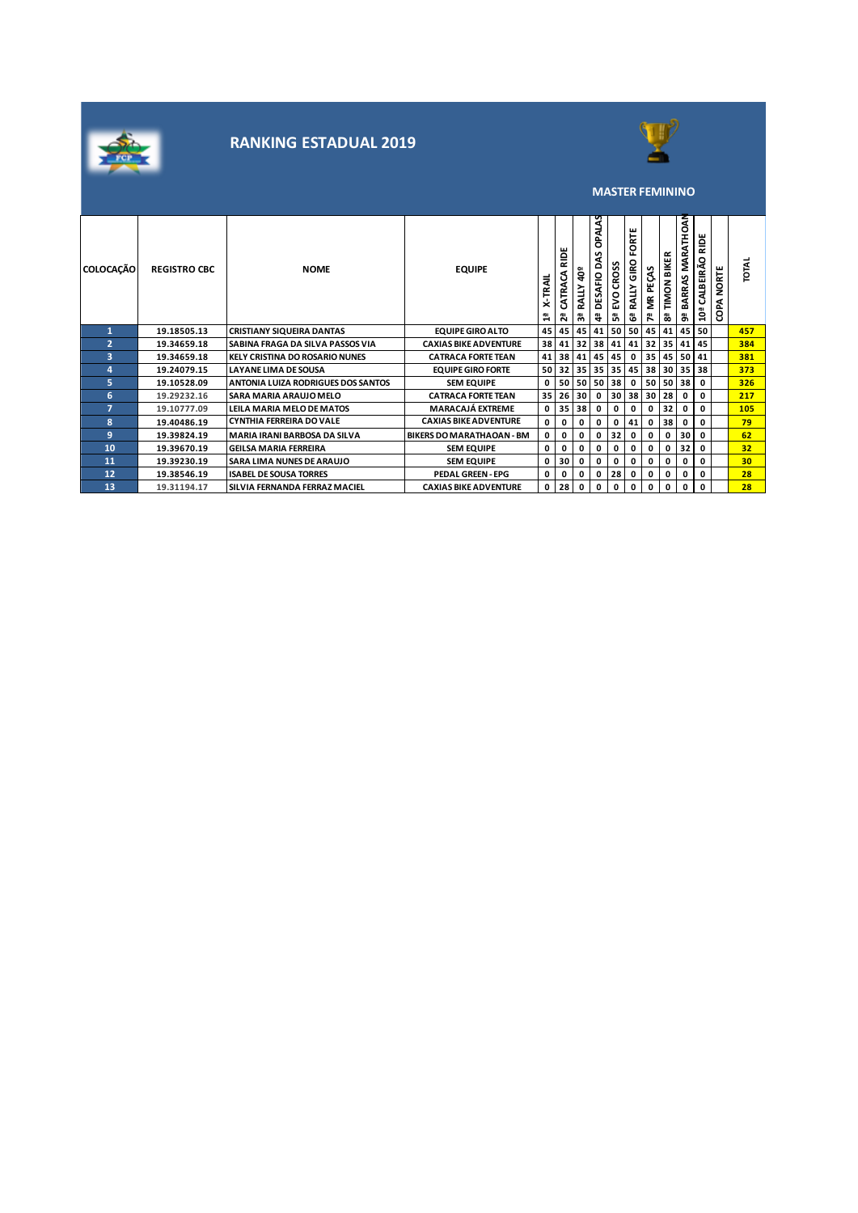



#### **MASTER FEMININO**

| <b>COLOCAÇÃO</b> | <b>REGISTRO CBC</b> | <b>NOME</b>                               | <b>EQUIPE</b>                    | ₹<br>∝<br>$\blacksquare$ | ш<br>≘<br>≃<br>c<br>CATRA<br>កឺ | å5<br>RALLY<br>ౣ | OPALAS<br>ৼ<br>DESAFIO D.<br>नै | <b>CROSS</b><br>Š<br>ů, | ORTE<br>ᇎ<br>GIRO<br><b>RALLY</b><br>ෂී | MR PEÇAS<br>r | <b>BIKER</b><br><b>TIMON</b><br>8 | <b>RO</b><br>좁<br><b>MARA</b><br>S<br><b>ARRA</b><br>മ<br>a, | <b>NOR</b><br>o<br>CALBEIRÃO<br>ã0ª | NORTE<br>욾<br>٥ | <b>TOTAL</b>    |
|------------------|---------------------|-------------------------------------------|----------------------------------|--------------------------|---------------------------------|------------------|---------------------------------|-------------------------|-----------------------------------------|---------------|-----------------------------------|--------------------------------------------------------------|-------------------------------------|-----------------|-----------------|
|                  | 19.18505.13         | <b>CRISTIANY SIQUEIRA DANTAS</b>          | <b>EQUIPE GIRO ALTO</b>          |                          |                                 | 45 45 45         | 41                              |                         | 50 50                                   | 45            | 41                                |                                                              | 45 50                               |                 | 457             |
| $\overline{2}$   | 19.34659.18         | SABINA FRAGA DA SILVA PASSOS VIA          | <b>CAXIAS BIKE ADVENTURE</b>     | 38                       | 41                              | 32               | 38                              | 41                      | 41                                      | 32            | 35 <sub>1</sub>                   | 41                                                           | 45                                  |                 | 384             |
| 3                | 19.34659.18         | <b>KELY CRISTINA DO ROSARIO NUNES</b>     | <b>CATRACA FORTE TEAN</b>        |                          |                                 | 41 38 41         | 45                              | 45                      | 0                                       | 35            | 45                                |                                                              | 50 41                               |                 | 381             |
| 4                | 19.24079.15         | <b>LAYANE LIMA DE SOUSA</b>               | <b>EQUIPE GIRO FORTE</b>         |                          | 50 32                           | 35               | 35                              | 35 45                   |                                         | 38            | 30                                |                                                              | 35 38                               |                 | 373             |
| 5                | 19.10528.09         | <b>ANTONIA LUIZA RODRIGUES DOS SANTOS</b> | <b>SEM EQUIPE</b>                | 0                        |                                 | 50 50            | 50                              | 38                      | 0                                       | 50            | 50                                | 38                                                           | 0                                   |                 | 326             |
| 6                | 19.29232.16         | SARA MARIA ARAUJO MELO                    | <b>CATRACA FORTE TEAN</b>        |                          | 35 26                           | 30               | 0                               |                         | 30 38                                   | 30            | 28                                | 0                                                            | 0                                   |                 | 217             |
| 7                | 19.10777.09         | LEILA MARIA MELO DE MATOS                 | <b>MARACAJÁ EXTREME</b>          | 0                        |                                 | 35 38            | $\mathbf{0}$                    | 0                       | 0                                       | 0             | 32                                | 0                                                            | 0                                   |                 | 105             |
| 8                | 19.40486.19         | <b>CYNTHIA FERREIRA DO VALE</b>           | <b>CAXIAS BIKE ADVENTURE</b>     | $\mathbf{0}$             | 0                               | 0                | 0                               | 0                       | 41                                      | 0             | 38                                | 0                                                            | 0                                   |                 | 79              |
| 9                | 19.39824.19         | <b>MARIA IRANI BARBOSA DA SILVA</b>       | <b>BIKERS DO MARATHAOAN - BM</b> | 0                        | 0                               | 0                | 0                               | 32                      | 0                                       | 0             | 0                                 | 30                                                           | 0                                   |                 | 62              |
| 10               | 19.39670.19         | <b>GEILSA MARIA FERREIRA</b>              | <b>SEM EQUIPE</b>                | 0                        | 0                               | 0                | 0                               | 0                       | 0                                       | 0             | 0                                 | 32                                                           | 0                                   |                 | 32              |
| 11               | 19.39230.19         | <b>SARA LIMA NUNES DE ARAUJO</b>          | <b>SEM EQUIPE</b>                | 0                        | 30                              | 0                | 0                               | 0                       | $\mathbf 0$                             | 0             | 0                                 | 0                                                            | 0                                   |                 | 30 <sub>2</sub> |
| 12               | 19.38546.19         | <b>ISABEL DE SOUSA TORRES</b>             | <b>PEDAL GREEN - EPG</b>         | 0                        | 0                               | 0                | 0                               | 28                      | 0                                       | 0             | 0                                 | 0                                                            | 0                                   |                 | 28              |
| 13               | 19.31194.17         | SILVIA FERNANDA FERRAZ MACIEL             | <b>CAXIAS BIKE ADVENTURE</b>     | 0                        | 28                              | 0                | 0                               | 0                       | 0                                       | 0             | 0                                 | 0                                                            | 0                                   |                 | 28              |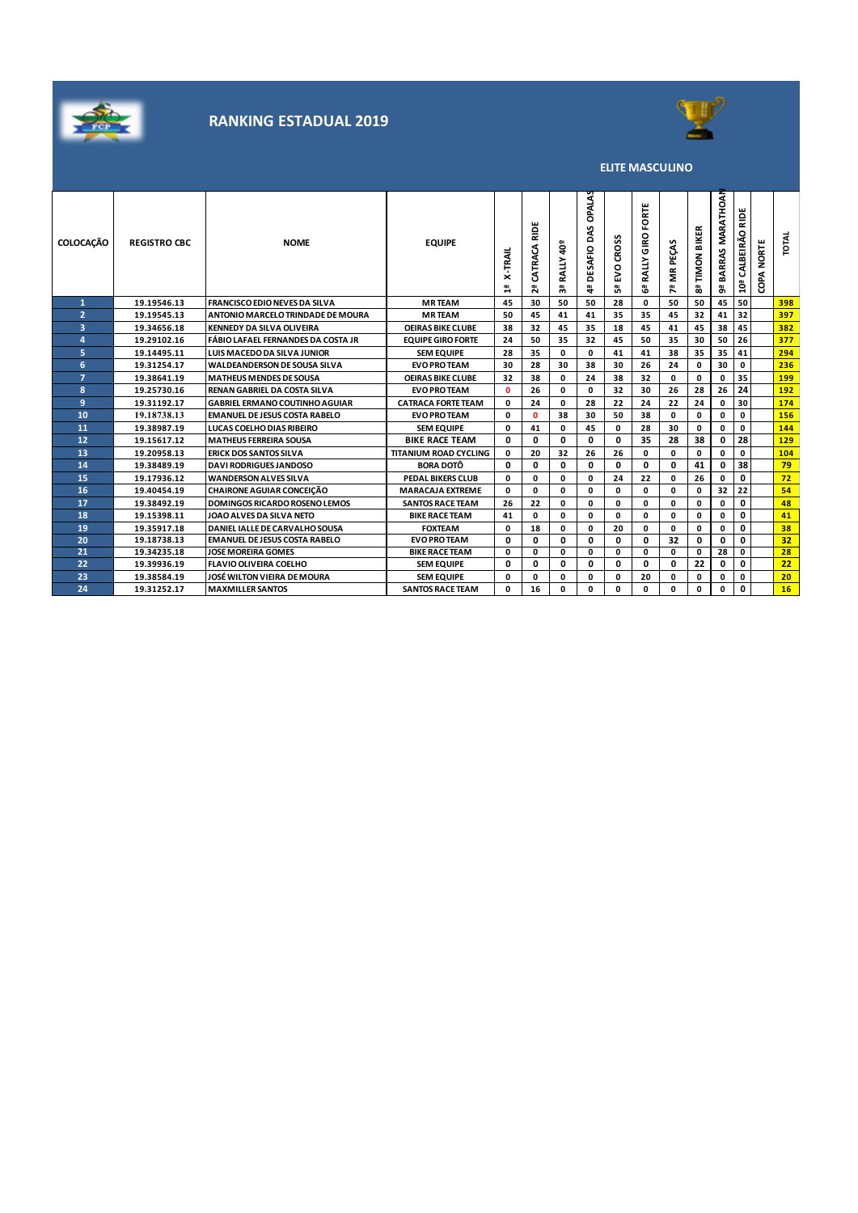



**ELITE MASCULINO**

| <b>COLOCAÇÃO</b> | <b>REGISTRO CBC</b> | <b>NOME</b>                           | <b>EQUIPE</b>                | <b>X-TRAIL</b><br>믭 | Е<br>2<br>CATRACA<br>ឌ | RALLY 40 <sup>9</sup><br>59 | <b>OPALAS</b><br>DAS<br><b>DESAFIO</b><br>ē, | <b>CROSS</b><br>ΕVΟ<br>ឹ | FORTE<br>GIRO<br><b>RALLY</b><br>යී | <b>MR PEÇAS</b><br>ሾ | BIKER<br>TIMON<br>8 | MARATHOAN<br>BARRAS<br>ã, | 읉<br>CALBEIRÃO<br>10ª | <b>NORTE</b><br>COPA | <b>TOTAL</b>    |
|------------------|---------------------|---------------------------------------|------------------------------|---------------------|------------------------|-----------------------------|----------------------------------------------|--------------------------|-------------------------------------|----------------------|---------------------|---------------------------|-----------------------|----------------------|-----------------|
| $\mathbf{1}$     | 19.19546.13         | <b>FRANCISCO EDIO NEVES DA SILVA</b>  | <b>MRTEAM</b>                | 45                  | 30                     | 50                          | 50                                           | 28                       | 0                                   | 50                   | 50                  | 45                        | 50                    |                      | 398             |
| $\overline{2}$   | 19.19545.13         | ANTONIO MARCELO TRINDADE DE MOURA     | <b>MRTEAM</b>                | 50                  | 45                     | 41                          | 41                                           | 35                       | 35                                  | 45                   | 32                  | 41                        | 32                    |                      | 397             |
| 3                | 19.34656.18         | <b>KENNEDY DA SILVA OLIVEIRA</b>      | <b>OEIRAS BIKE CLUBE</b>     | 38                  | 32                     | 45                          | 35                                           | 18                       | 45                                  | 41                   | 45                  | 38                        | 45                    |                      | 382             |
| 4                | 19.29102.16         | FÁBIO LAFAEL FERNANDES DA COSTA JR    | <b>EQUIPE GIRO FORTE</b>     | 24                  | 50                     | 35                          | 32                                           | 45                       | 50                                  | 35                   | 30                  | 50                        | 26                    |                      | 377             |
| 5                | 19.14495.11         | LUIS MACEDO DA SILVA JUNIOR           | <b>SEM EQUIPE</b>            | 28                  | 35                     | 0                           | 0                                            | 41                       | 41                                  | 38                   | 35                  | 35                        | 41                    |                      | 294             |
| 6                | 19.31254.17         | <b>WALDEANDERSON DE SOUSA SILVA</b>   | <b>EVO PRO TEAM</b>          | 30                  | 28                     | 30                          | 38                                           | 30                       | 26                                  | 24                   | 0                   | 30                        | 0                     |                      | 236             |
| $\overline{ }$   | 19.38641.19         | <b>MATHEUS MENDES DE SOUSA</b>        | <b>OEIRAS BIKE CLUBE</b>     | 32                  | 38                     | 0                           | 24                                           | 38                       | 32                                  | 0                    | 0                   | 0                         | 35                    |                      | 199             |
| 8                | 19.25730.16         | <b>RENAN GABRIEL DA COSTA SILVA</b>   | <b>EVO PRO TEAM</b>          | $\mathbf{0}$        | 26                     | 0                           | 0                                            | 32                       | 30                                  | 26                   | 28                  | 26                        | 24                    |                      | 192             |
| 9                | 19.31192.17         | <b>GABRIEL ERMANO COUTINHO AGUIAR</b> | <b>CATRACA FORTE TEAM</b>    | 0                   | 24                     | 0                           | 28                                           | 22                       | 24                                  | 22                   | 24                  | 0                         | 30                    |                      | 174             |
| 10               | 19.18738.13         | <b>EMANUEL DE JESUS COSTA RABELO</b>  | <b>EVO PRO TEAM</b>          | 0                   | 0                      | 38                          | 30                                           | 50                       | 38                                  | 0                    | 0                   | 0                         | 0                     |                      | 156             |
| 11               | 19.38987.19         | LUCAS COELHO DIAS RIBEIRO             | <b>SEM EQUIPE</b>            | 0                   | 41                     | 0                           | 45                                           | 0                        | 28                                  | 30                   | 0                   | 0                         | 0                     |                      | 144             |
| 12               | 19.15617.12         | <b>MATHEUS FERREIRA SOUSA</b>         | <b>BIKE RACE TEAM</b>        | 0                   | 0                      | 0                           | 0                                            | 0                        | 35                                  | 28                   | 38                  | 0                         | 28                    |                      | 129             |
| 13               | 19.20958.13         | <b>ERICK DOS SANTOS SILVA</b>         | <b>TITANIUM ROAD CYCLING</b> | 0                   | 20                     | 32                          | 26                                           | 26                       | 0                                   | $\mathbf{0}$         | 0                   | 0                         | 0                     |                      | 104             |
| 14               | 19.38489.19         | <b>DAVI RODRIGUES JANDOSO</b>         | <b>BORA DOTÔ</b>             | 0                   | 0                      | 0                           | 0                                            | 0                        | 0                                   | 0                    | 41                  | 0                         | 38                    |                      | 79              |
| 15               | 19.17936.12         | <b>WANDERSON ALVES SILVA</b>          | PEDAL BIKERS CLUB            | 0                   | 0                      | 0                           | 0                                            | 24                       | 22                                  | $\mathbf 0$          | 26                  | 0                         | 0                     |                      | 72              |
| 16               | 19.40454.19         | <b>CHAIRONE AGUIAR CONCEIÇÃO</b>      | <b>MARACAJA EXTREME</b>      | 0                   | 0                      | 0                           | 0                                            | 0                        | 0                                   | 0                    | 0                   | 32                        | 22                    |                      | 54              |
| 17               | 19.38492.19         | <b>DOMINGOS RICARDO ROSENO LEMOS</b>  | <b>SANTOS RACE TEAM</b>      | 26                  | 22                     | 0                           | 0                                            | 0                        | 0                                   | 0                    | 0                   | 0                         | 0                     |                      | 48              |
| 18               | 19.15398.11         | JOAO ALVES DA SILVA NETO              | <b>BIKE RACE TEAM</b>        | 41                  | 0                      | 0                           | 0                                            | 0                        | 0                                   | 0                    | 0                   | 0                         | 0                     |                      | 41              |
| 19               | 19.35917.18         | DANIEL IALLE DE CARVALHO SOUSA        | <b>FOXTEAM</b>               | 0                   | 18                     | 0                           | 0                                            | 20                       | 0                                   | 0                    | 0                   | 0                         | 0                     |                      | 38              |
| 20               | 19.18738.13         | <b>EMANUEL DE JESUS COSTA RABELO</b>  | <b>EVO PRO TEAM</b>          | 0                   | 0                      | 0                           | 0                                            | 0                        | 0                                   | 32                   | 0                   | 0                         | 0                     |                      | 32 <sub>2</sub> |
| 21               | 19.34235.18         | <b>JOSE MOREIRA GOMES</b>             | <b>BIKE RACE TEAM</b>        | 0                   | 0                      | 0                           | 0                                            | 0                        | 0                                   | 0                    | 0                   | 28                        | 0                     |                      | 28              |
| 22               | 19.39936.19         | <b>FLAVIO OLIVEIRA COELHO</b>         | <b>SEM EQUIPE</b>            | 0                   | 0                      | 0                           | 0                                            | 0                        | 0                                   | 0                    | 22                  | 0                         | 0                     |                      | 22              |
| 23               | 19.38584.19         | JOSÉ WILTON VIEIRA DE MOURA           | <b>SEM EQUIPE</b>            | 0                   | 0                      | 0                           | 0                                            | 0                        | 20                                  | 0                    | 0                   | 0                         | 0                     |                      | 20              |
| 24               | 19.31252.17         | <b>MAXMILLER SANTOS</b>               | <b>SANTOS RACE TEAM</b>      | $\mathbf{0}$        | 16                     | <sup>0</sup>                | O                                            | $\Omega$                 | 0                                   | O                    | O                   | 0                         | 0                     |                      | 16              |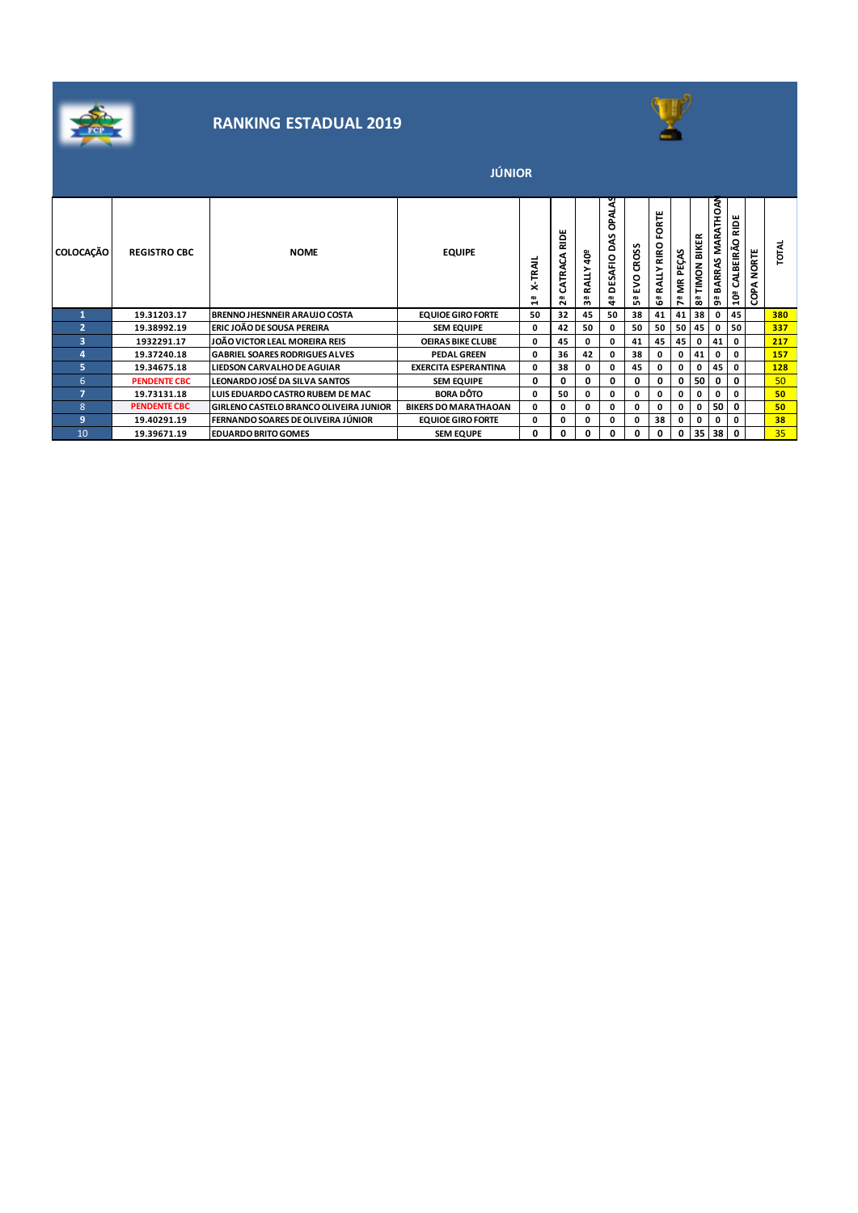



|                  |                     |                                               | <b>JÚNIOR</b>               |              |                       |                |                                  |                           |                               |               |                     |                          |                          |               |       |
|------------------|---------------------|-----------------------------------------------|-----------------------------|--------------|-----------------------|----------------|----------------------------------|---------------------------|-------------------------------|---------------|---------------------|--------------------------|--------------------------|---------------|-------|
| <b>COLOCAÇÃO</b> | <b>REGISTRO CBC</b> | <b>NOME</b>                                   | <b>EQUIPE</b>               | X-TRAIL<br>믝 | RIDE<br>CATRACA<br>កី | RALLY 40ª<br>찂 | OPALAS<br>২<br>۵<br>DESAFIO<br>₩ | <b>CROSS</b><br>EVO<br>ů, | ORTE<br>ட்<br>RALLY RIRO<br>ී | MR PEÇAS<br>ዶ | BIKER<br>TIMON<br>锅 | MARATHOAN<br>BARRAS<br>შ | RIDE<br>CALBEIRÃO<br>ã0ª | NORTE<br>COPA | TOTAL |
|                  | 19.31203.17         | BRENNO JHESNNEIR ARAUJO COSTA                 | <b>EQUIOE GIRO FORTE</b>    | 50           | 32                    | 45             | 50                               | 38                        | 41                            | 41            | 38                  | 0                        | 45                       |               | 380   |
| $\overline{a}$   | 19.38992.19         | ERIC JOÃO DE SOUSA PEREIRA                    | <b>SEM EQUIPE</b>           | 0            | 42                    | 50             | 0                                | 50                        | 50                            | 50            | 45                  | 0                        | 50                       |               | 337   |
| з                | 1932291.17          | JOÃO VICTOR LEAL MOREIRA REIS                 | <b>OEIRAS BIKE CLUBE</b>    | 0            | 45                    | 0              | 0                                | 41                        | 45                            | 45            | 0                   | 41                       | 0                        |               | 217   |
| 4                | 19.37240.18         | <b>GABRIEL SOARES RODRIGUES ALVES</b>         | <b>PEDAL GREEN</b>          | 0            | 36                    | 42             | 0                                | 38                        | 0                             | $\mathbf 0$   | 41                  | 0                        | 0                        |               | 157   |
| 5.               | 19.34675.18         | <b>LIEDSON CARVALHO DE AGUIAR</b>             | <b>EXERCITA ESPERANTINA</b> | 0            | 38                    | 0              | 0                                | 45                        | 0                             | 0             | 0                   | 45                       | 0                        |               | 128   |
| 6                | <b>PENDENTE CBC</b> | LEONARDO JOSÉ DA SILVA SANTOS                 | <b>SEM EQUIPE</b>           | 0            | 0                     | 0              | 0                                | 0                         | 0                             | 0             | 50                  | 0                        | 0                        |               | 50    |
| $\overline{7}$   | 19.73131.18         | LUIS EDUARDO CASTRO RUBEM DE MAC              | <b>BORA DÔTO</b>            | 0            | 50                    | 0              | 0                                | 0                         | 0                             | $\mathbf 0$   | $\mathbf 0$         | 0                        | 0                        |               | 50    |
| 8                | <b>PENDENTE CBC</b> | <b>GIRLENO CASTELO BRANCO OLIVEIRA JUNIOR</b> | <b>BIKERS DO MARATHAOAN</b> | 0            | 0                     | 0              | 0                                | 0                         | 0                             | 0             | 0                   | 50                       | 0                        |               | 50    |
| 9                | 19.40291.19         | FERNANDO SOARES DE OLIVEIRA JÚNIOR            | <b>EQUIOE GIRO FORTE</b>    | 0            | 0                     | 0              | 0                                | 0                         | 38                            | 0             | O                   | 0                        | 0                        |               | 38    |
| 10               | 19.39671.19         | <b>EDUARDO BRITO GOMES</b>                    | <b>SEM EQUPE</b>            | 0            | 0                     | 0              | 0                                | 0                         | 0                             | 0             | 35                  | 38                       | 0                        |               | 35    |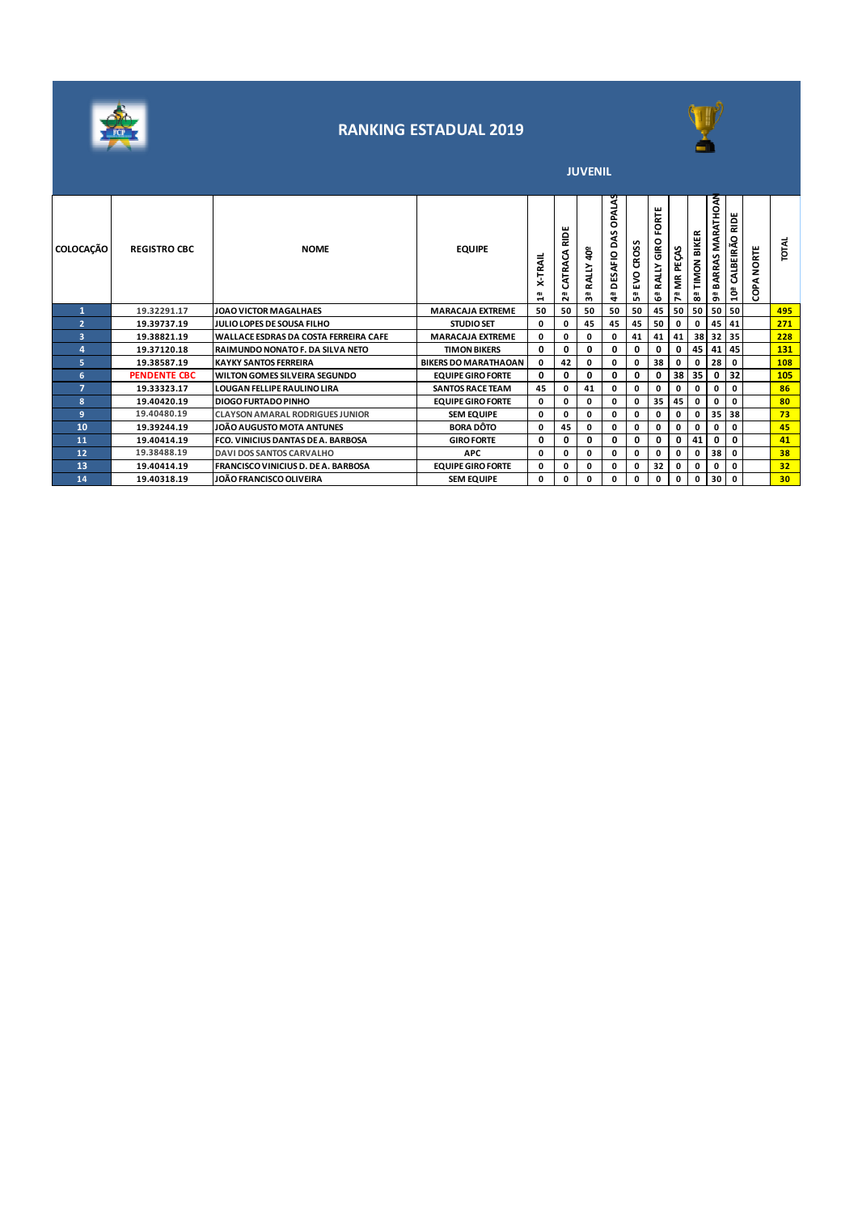



**JUVENIL** 

| <b>COLOCAÇÃO</b>         | <b>REGISTRO CBC</b> | <b>NOME</b>                                   | <b>EQUIPE</b>               | <b>X-TRAIL</b><br>삅 | RIDE<br>CATRACA<br>កី | ទី<br>RALLY<br>ౚఀ | <b>OPALAS</b><br>L<br>٥<br>DESAFIO<br>₹ | <b>CROS</b><br>g<br>ü, | ORTE<br>щ<br>ŝ۴<br>ALLY<br>ů. | PEÇAS<br>ŽЕ<br>ዶ | <b>BIKER</b><br><b>NOMI</b><br>ఙ | <b>ATHOAN</b><br>MARJ<br>ARRAS<br>ଞ୍ଜ | ш<br>을<br>CALBEIRÃO<br>្ព | <b>NORTE</b><br>⋖<br>غ<br>8 | Ĕ               |
|--------------------------|---------------------|-----------------------------------------------|-----------------------------|---------------------|-----------------------|-------------------|-----------------------------------------|------------------------|-------------------------------|------------------|----------------------------------|---------------------------------------|---------------------------|-----------------------------|-----------------|
|                          | 19.32291.17         | JOAO VICTOR MAGALHAES                         | <b>MARACAJA EXTREME</b>     | 50                  | 50                    | 50                | 50                                      | 50                     | 45                            | 50               | 50                               | 50                                    | 50                        |                             | 495             |
| $\overline{\phantom{a}}$ | 19.39737.19         | IJULIO LOPES DE SOUSA FILHO                   | <b>STUDIO SET</b>           | 0                   | 0                     | 45                | 45                                      | 45                     | 50                            | 0                | 0                                | 45                                    | 41                        |                             | 271             |
| 3                        | 19.38821.19         | <b>IWALLACE ESDRAS DA COSTA FERREIRA CAFE</b> | <b>MARACAJA EXTREME</b>     | 0                   | 0                     | 0                 | 0                                       | 41                     | 41                            | 41               | 38                               |                                       | 32 35                     |                             | 228             |
| $\overline{a}$           | 19.37120.18         | <b>RAIMUNDO NONATO F. DA SILVA NETO</b>       | <b>TIMON BIKERS</b>         | 0                   | 0                     | 0                 | 0                                       | 0                      | 0                             | 0                | 45                               | 41                                    | 45                        |                             | 131             |
| 5                        | 19.38587.19         | <b>KAYKY SANTOS FERREIRA</b>                  | <b>BIKERS DO MARATHAOAN</b> | 0                   | 42                    | 0                 | 0                                       | 0                      | 38                            | 0                | 0                                | 28                                    | 0                         |                             | 108             |
| 6                        | <b>PENDENTE CBC</b> | <b>IWILTON GOMES SILVEIRA SEGUNDO</b>         | <b>EQUIPE GIRO FORTE</b>    | 0                   | 0                     | 0                 | 0                                       | 0                      | 0                             | 38               | 35                               | 0                                     | 32                        |                             | 105             |
| 7                        | 19.33323.17         | <b>LOUGAN FELLIPE RAULINO LIRA</b>            | <b>SANTOS RACE TEAM</b>     | 45                  | 0                     | 41                | 0                                       | 0                      | 0                             | 0                | 0                                | 0                                     | 0                         |                             | 86              |
| 8                        | 19.40420.19         | <b>DIOGO FURTADO PINHO</b>                    | <b>EQUIPE GIRO FORTE</b>    | 0                   | 0                     | 0                 | 0                                       | 0                      | 35                            | 45               | 0                                | 0                                     | 0                         |                             | 80              |
| 9                        | 19.40480.19         | <b>CLAYSON AMARAL RODRIGUES JUNIOR</b>        | <b>SEM EQUIPE</b>           | 0                   | 0                     | 0                 | 0                                       | 0                      | 0                             | 0                | 0                                | 35 <sub>1</sub>                       | 38                        |                             | 73              |
| 10                       | 19.39244.19         | JOÃO AUGUSTO MOTA ANTUNES                     | <b>BORA DÔTO</b>            | 0                   | 45                    | 0                 | 0                                       | 0                      | 0                             | 0                | 0                                | 0                                     | 0                         |                             | 45              |
| 11                       | 19.40414.19         | <b>FCO. VINICIUS DANTAS DE A. BARBOSA</b>     | <b>GIRO FORTE</b>           | 0                   | 0                     | 0                 | 0                                       | 0                      | 0                             | 0                | 41                               | 0                                     | 0                         |                             | 41              |
| 12                       | 19.38488.19         | DAVIDOS SANTOS CARVALHO                       | <b>APC</b>                  | 0                   | 0                     | 0                 | 0                                       | 0                      | 0                             | 0                | 0                                | 38                                    | 0                         |                             | 38              |
| 13                       | 19.40414.19         | <b>FRANCISCO VINICIUS D. DE A. BARBOSA</b>    | <b>EQUIPE GIRO FORTE</b>    | 0                   | 0                     | 0                 | 0                                       | 0                      | 32                            | 0                | 0                                | 0                                     | 0                         |                             | 32              |
| 14                       | 19.40318.19         | JOÃO FRANCISCO OLIVEIRA                       | <b>SEM EQUIPE</b>           | 0                   | 0                     | 0                 | 0                                       | 0                      | 0                             | 0                | 0                                | 30                                    | $\mathbf 0$               |                             | 30 <sub>2</sub> |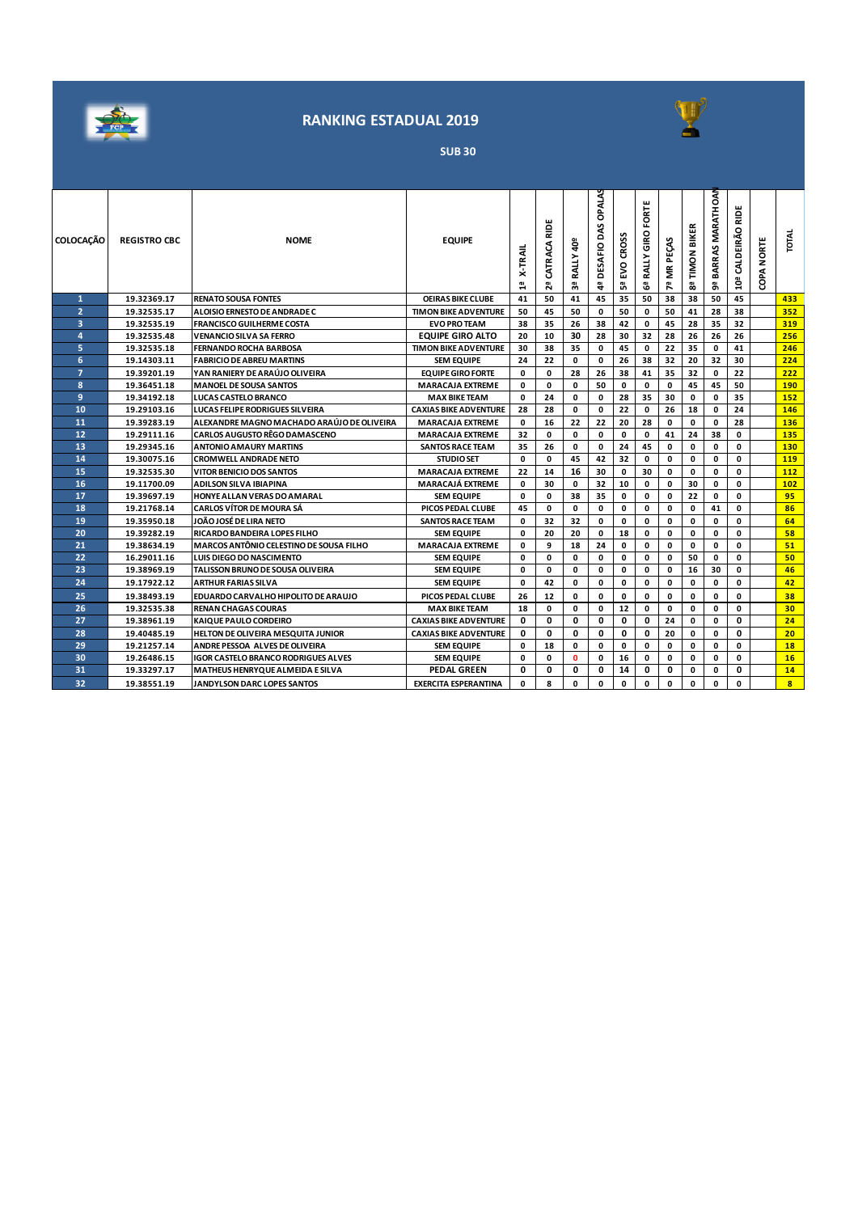



**SUB 30**

| <b>COLOCAÇÃO</b>        | <b>REGISTRO CBC</b> | <b>NOME</b>                                    | <b>EQUIPE</b>                | <b>X-TRAIL</b><br>읩 | 읉<br>CATRACA<br>5g | <b>RALLY 40°</b><br>59 | OPALAS<br><b>BAS</b><br><b>DESAFIO</b><br>4 | <b>CROSS</b><br>5×<br>ធី | FORTE<br>RALLY GIRO<br>ී | MR PEÇAS<br>54 | <b>BIKER</b><br>TIMON<br>œ | MARATHOAN<br>BARRAS<br>a. | 읉<br>10ª CALDEIRÃO | <b>COPA NORTE</b> | <b>INLO</b>             |
|-------------------------|---------------------|------------------------------------------------|------------------------------|---------------------|--------------------|------------------------|---------------------------------------------|--------------------------|--------------------------|----------------|----------------------------|---------------------------|--------------------|-------------------|-------------------------|
| 1                       | 19.32369.17         | <b>RENATO SOUSA FONTES</b>                     | <b>OEIRAS BIKE CLUBE</b>     | 41                  | 50                 | 41                     | 45                                          | 35                       | 50                       | 38             | 38                         | 50                        | 45                 |                   | 433                     |
| $\overline{2}$          | 19.32535.17         | ALOISIO ERNESTO DE ANDRADE C                   | <b>TIMON BIKE ADVENTURE</b>  | 50                  | 45                 | 50                     | 0                                           | 50                       | 0                        | 50             | 41                         | 28                        | 38                 |                   | 352                     |
| $\overline{\mathbf{3}}$ | 19.32535.19         | <b>FRANCISCO GUILHERME COSTA</b>               | <b>EVO PRO TEAM</b>          | 38                  | 35                 | 26                     | 38                                          | 42                       | 0                        | 45             | 28                         | 35                        | 32                 |                   | 319                     |
| $\overline{a}$          | 19.32535.48         | VENANCIO SILVA SA FERRO                        | <b>EQUIPE GIRO ALTO</b>      | 20                  | 10                 | 30                     | 28                                          | 30                       | 32                       | 28             | 26                         | 26                        | 26                 |                   | 256                     |
| 5                       | 19.32535.18         | <b>FERNANDO ROCHA BARBOSA</b>                  | <b>TIMON BIKE ADVENTURE</b>  | 30                  | 38                 | 35                     | 0                                           | 45                       | $\mathbf 0$              | 22             | 35                         | $\mathbf 0$               | 41                 |                   | 246                     |
| 6                       | 19.14303.11         | <b>FABRICIO DE ABREU MARTINS</b>               | <b>SEM EQUIPE</b>            | 24                  | 22                 | 0                      | $\mathbf{0}$                                | 26                       | 38                       | 32             | 20                         | 32                        | 30                 |                   | 224                     |
| $\overline{7}$          | 19.39201.19         | YAN RANIERY DE ARAÚJO OLIVEIRA                 | <b>EQUIPE GIRO FORTE</b>     | 0                   | 0                  | 28                     | 26                                          | 38                       | 41                       | 35             | 32                         | 0                         | 22                 |                   | 222                     |
| 8                       | 19.36451.18         | <b>MANOEL DE SOUSA SANTOS</b>                  | <b>MARACAJA EXTREME</b>      | 0                   | $\mathbf{0}$       | 0                      | 50                                          | 0                        | 0                        | 0              | 45                         | 45                        | 50                 |                   | 190                     |
| 9                       | 19.34192.18         | <b>LUCAS CASTELO BRANCO</b>                    | <b>MAX BIKE TEAM</b>         | 0                   | 24                 | 0                      | $\mathbf 0$                                 | 28                       | 35                       | 30             | 0                          | 0                         | 35                 |                   | 152                     |
| 10                      | 19.29103.16         | <b>LUCAS FELIPE RODRIGUES SILVEIRA</b>         | <b>CAXIAS BIKE ADVENTURE</b> | 28                  | 28                 | 0                      | $\mathbf 0$                                 | 22                       | 0                        | 26             | 18                         | 0                         | 24                 |                   | 146                     |
| 11                      | 19.39283.19         | ALEXANDRE MAGNO MACHADO ARAÚJO DE OLIVEIRA     | <b>MARACAJA EXTREME</b>      | $\mathbf{0}$        | 16                 | 22                     | 22                                          | 20                       | 28                       | 0              | 0                          | 0                         | 28                 |                   | 136                     |
| 12                      | 19.29111.16         | <b>CARLOS AUGUSTO RÊGO DAMASCENO</b>           | <b>MARACAJA EXTREME</b>      | 32                  | $\mathbf{0}$       | 0                      | $\Omega$                                    | $\mathbf 0$              | 0                        | 41             | 24                         | 38                        | 0                  |                   | 135                     |
| 13                      | 19.29345.16         | <b>ANTONIO AMAURY MARTINS</b>                  | <b>SANTOS RACE TEAM</b>      | 35                  | 26                 | 0                      | $\mathbf 0$                                 | 24                       | 45                       | 0              | 0                          | 0                         | 0                  |                   | 130                     |
| 14                      | 19.30075.16         | <b>CROMWELL ANDRADE NETO</b>                   | <b>STUDIO SET</b>            | 0                   | $\mathbf{0}$       | 45                     | 42                                          | 32                       | 0                        | 0              | 0                          | 0                         | 0                  |                   | 119                     |
| 15                      | 19.32535.30         | <b>VITOR BENICIO DOS SANTOS</b>                | <b>MARACAJA EXTREME</b>      | 22                  | 14                 | 16                     | 30                                          | 0                        | 30                       | $\mathbf 0$    | 0                          | 0                         | 0                  |                   | 112                     |
| 16                      | 19.11700.09         | <b>ADILSON SILVA IBIAPINA</b>                  | <b>MARACAJÁ EXTREME</b>      | 0                   | 30                 | 0                      | 32                                          | 10                       | 0                        | 0              | 30                         | 0                         | 0                  |                   | 102                     |
| 17                      | 19.39697.19         | <b>HONYE ALLAN VERAS DO AMARAL</b>             | <b>SEM EQUIPE</b>            | $\mathbf 0$         | 0                  | 38                     | 35                                          | 0                        | 0                        | 0              | 22                         | 0                         | 0                  |                   | 95                      |
| 18                      | 19.21768.14         | CARLOS VÍTOR DE MOURA SÁ                       | PICOS PEDAL CLUBE            | 45                  | $\mathbf{0}$       | 0                      | $\Omega$                                    | $\mathbf 0$              | 0                        | $\mathbf 0$    | $\mathbf 0$                | 41                        | 0                  |                   | 86                      |
| 19                      | 19.35950.18         | JOÃO JOSÉ DE LIRA NETO                         | <b>SANTOS RACE TEAM</b>      | 0                   | 32                 | 32                     | 0                                           | 0                        | 0                        | 0              | $\mathbf{0}$               | 0                         | 0                  |                   | 64                      |
| 20                      | 19.39282.19         | RICARDO BANDEIRA LOPES FILHO                   | <b>SEM EQUIPE</b>            | 0                   | 20                 | 20                     | $\mathbf 0$                                 | 18                       | 0                        | 0              | 0                          | 0                         | 0                  |                   | 58                      |
| 21                      | 19.38634.19         | <b>MARCOS ANTÔNIO CELESTINO DE SOUSA FILHO</b> | <b>MARACAJA EXTREME</b>      | 0                   | 9                  | 18                     | 24                                          | 0                        | 0                        | 0              | 0                          | 0                         | 0                  |                   | 51                      |
| 22                      | 16.29011.16         | <b>LUIS DIEGO DO NASCIMENTO</b>                | <b>SEM EQUIPE</b>            | 0                   | 0                  | 0                      | 0                                           | 0                        | 0                        | 0              | 50                         | 0                         | 0                  |                   | 50                      |
| 23                      | 19.38969.19         | TALISSON BRUNO DE SOUSA OLIVEIRA               | <b>SEM EQUIPE</b>            | 0                   | $\mathbf{0}$       | 0                      | 0                                           | 0                        | 0                        | 0              | 16                         | 30                        | 0                  |                   | 46                      |
| 24                      | 19.17922.12         | ARTHUR FARIAS SILVA                            | <b>SEM EQUIPE</b>            | 0                   | 42                 | 0                      | 0                                           | 0                        | $\mathbf{0}$             | 0              | $\mathbf{0}$               | 0                         | $\mathbf{0}$       |                   | 42                      |
| 25                      | 19.38493.19         | EDUARDO CARVALHO HIPOLITO DE ARAUJO            | PICOS PEDAL CLUBE            | 26                  | 12                 | 0                      | $\mathbf 0$                                 | 0                        | 0                        | 0              | 0                          | 0                         | $\mathbf 0$        |                   | 38                      |
| 26                      | 19.32535.38         | <b>RENAN CHAGAS COURAS</b>                     | <b>MAX BIKE TEAM</b>         | 18                  | 0                  | 0                      | $\mathbf 0$                                 | 12                       | 0                        | 0              | $\mathbf{0}$               | 0                         | 0                  |                   | 30                      |
| 27                      | 19.38961.19         | KAIQUE PAULO CORDEIRO                          | <b>CAXIAS BIKE ADVENTURE</b> | 0                   | 0                  | 0                      | $\mathbf 0$                                 | 0                        | 0                        | 24             | 0                          | 0                         | 0                  |                   | 24                      |
| 28                      | 19.40485.19         | HELTON DE OLIVEIRA MESQUITA JUNIOR             | <b>CAXIAS BIKE ADVENTURE</b> | 0                   | 0                  | 0                      | 0                                           | 0                        | 0                        | 20             | 0                          | 0                         | 0                  |                   | 20                      |
| 29                      | 19.21257.14         | ANDRE PESSOA ALVES DE OLIVEIRA                 | <b>SEM EQUIPE</b>            | 0                   | 18                 | 0                      | $\mathbf 0$                                 | 0                        | 0                        | 0              | 0                          | 0                         | 0                  |                   | <b>18</b>               |
| 30                      | 19.26486.15         | <b>IGOR CASTELO BRANCO RODRIGUES ALVES</b>     | <b>SEM EQUIPE</b>            | 0                   | 0                  | $\mathbf{0}$           | 0                                           | 16                       | 0                        | 0              | $\mathbf 0$                | 0                         | 0                  |                   | 16                      |
| 31                      | 19.33297.17         | MATHEUS HENRYQUE ALMEIDA E SILVA               | <b>PEDAL GREEN</b>           | 0                   | 0                  | 0                      | 0                                           | 14                       | 0                        | 0              | 0                          | 0                         | 0                  |                   | 14                      |
| 32                      | 19.38551.19         | <b>JANDYLSON DARC LOPES SANTOS</b>             | <b>EXERCITA ESPERANTINA</b>  | $\Omega$            | 8                  | 0                      | $\mathbf{0}$                                | <sup>0</sup>             | $\mathbf{0}$             | 0              | $\mathbf{0}$               | 0                         | 0                  |                   | $\overline{\mathbf{8}}$ |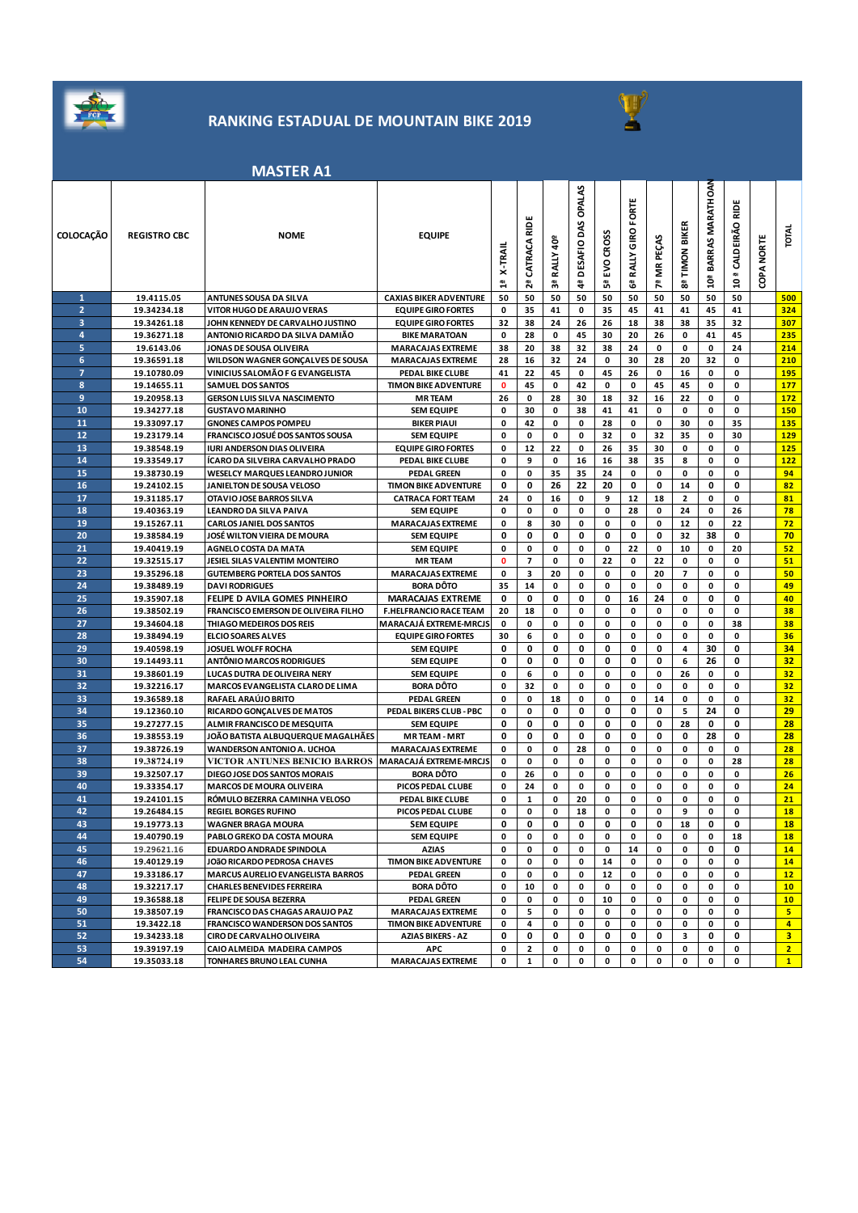

### **RANKING ESTADUAL DE MOUNTAIN BIKE 2019**



#### **MASTER A1**

|                  |                            | IVIAJI LIV A1                                                                        |                               |              |                   |                          |                                      |                |                       |               |                |                         |                                     |                      |                 |
|------------------|----------------------------|--------------------------------------------------------------------------------------|-------------------------------|--------------|-------------------|--------------------------|--------------------------------------|----------------|-----------------------|---------------|----------------|-------------------------|-------------------------------------|----------------------|-----------------|
| <b>COLOCAÇÃO</b> | <b>REGISTRO CBC</b>        | <b>NOME</b>                                                                          | <b>EQUIPE</b>                 | X-TRAII<br>믑 | CATRACA RID<br>2ª | å<br><b>RALLY</b><br>မ္ဘ | OPALAS<br>DAS<br><b>DESAFIO</b><br>4 | EVO CROSS<br>ឹ | RALLY GIRO FORTE<br>ී | MR PEÇAS<br>친 | 8ª TIMON BIKER | BARRAS MARATHOAN<br>ã0ª | ă<br>ᇎ<br>10 <sup>ª</sup> CALDEIRÃO | <b>NORTE</b><br>COPA | <b>TOTAL</b>    |
| 1                | 19.4115.05                 | <b>ANTUNES SOUSA DA SILVA</b>                                                        | <b>CAXIAS BIKER ADVENTURE</b> | 50           | 50                | 50                       | 50                                   | 50             | 50                    | 50            | 50             | 50                      | 50                                  |                      | 500             |
| $\overline{2}$   | 19.34234.18                | VITOR HUGO DE ARAUJO VERAS                                                           | <b>EQUIPE GIRO FORTES</b>     | 0            | 35                | 41                       | 0                                    | 35             | 45                    | 41            | 41             | 45                      | 41                                  |                      | 324             |
| 3                | 19.34261.18                | JOHN KENNEDY DE CARVALHO JUSTINO                                                     | <b>EQUIPE GIRO FORTES</b>     | 32           | 38                | 24                       | 26                                   | 26             | 18                    | 38            | 38             | 35                      | 32                                  |                      | 307             |
| 4                | 19.36271.18                | ANTONIO RICARDO DA SILVA DAMIÃO                                                      | <b>BIKE MARATOAN</b>          | 0            | 28                | 0                        | 45                                   | 30             | 20                    | 26            | 0              | 41                      | 45                                  |                      | 235             |
| 5                | 19.6143.06                 | JONAS DE SOUSA OLIVEIRA                                                              | <b>MARACAJAS EXTREME</b>      | 38           | 20                | 38                       | 32                                   | 38             | 24                    | 0             | 0              | 0                       | 24                                  |                      | 214             |
| 6                | 19.36591.18                | WILDSON WAGNER GONÇALVES DE SOUSA                                                    | <b>MARACAJAS EXTREME</b>      | 28           | 16                | 32                       | 24                                   | 0              | 30                    | 28            | 20             | 32                      | 0                                   |                      | 210             |
| $\overline{7}$   | 19.10780.09                | VINICIUS SALOMÃO F G EVANGELISTA                                                     | PEDAL BIKE CLUBE              | 41           | 22                | 45                       | 0                                    | 45             | 26                    | 0             | 16             | 0                       | 0                                   |                      | 195             |
| 8                | 19.14655.11                | <b>SAMUEL DOS SANTOS</b>                                                             | <b>TIMON BIKE ADVENTURE</b>   | $\mathbf 0$  | 45                | 0                        | 42                                   | 0              | 0                     | 45            | 45             | 0                       | 0                                   |                      | 177             |
| 9                | 19.20958.13                | <b>GERSON LUIS SILVA NASCIMENTO</b>                                                  | <b>MR TEAM</b>                | 26           | 0                 | 28                       | 30                                   | 18             | 32                    | 16            | 22             | 0                       | 0                                   |                      | 172             |
| 10               | 19.34277.18                | <b>GUSTAVO MARINHO</b>                                                               | <b>SEM EQUIPE</b>             | 0            | 30                | 0                        | 38                                   | 41             | 41                    | 0             | 0              | 0                       | 0                                   |                      | 150             |
| 11               | 19.33097.17                | <b>GNONES CAMPOS POMPEU</b>                                                          | <b>BIKER PIAUI</b>            | 0            | 42                | 0                        | 0                                    | 28             | 0                     | 0             | 30             | 0                       | 35                                  |                      | 135             |
| 12               | 19.23179.14                | <b>FRANCISCO JOSUÉ DOS SANTOS SOUSA</b>                                              | <b>SEM EQUIPE</b>             | 0            | 0                 | 0                        | 0                                    | 32             | 0                     | 32            | 35             | 0                       | 30                                  |                      | 129             |
| 13               | 19.38548.19                | <b>IURI ANDERSON DIAS OLIVEIRA</b>                                                   | <b>EQUIPE GIRO FORTES</b>     | 0            | 12                | 22                       | 0                                    | 26             | 35                    | 30            | 0              | 0                       | 0                                   |                      | 125             |
| 14               | 19.33549.17                | ÍCARO DA SILVEIRA CARVALHO PRADO                                                     | PEDAL BIKE CLUBE              | 0            | 9                 | 0                        | 16                                   | 16             | 38                    | 35            | 8              | 0                       | 0                                   |                      | 122             |
| 15               | 19.38730.19                | <b>WESELCY MARQUES LEANDRO JUNIOR</b>                                                | <b>PEDAL GREEN</b>            | 0            | 0                 | 35                       | 35                                   | 24             | 0                     | 0             | 0              | 0                       | 0                                   |                      | 94              |
| 16               | 19.24102.15                | JANIELTON DE SOUSA VELOSO                                                            | <b>TIMON BIKE ADVENTURE</b>   | 0            | 0                 | 26                       | 22                                   | 20             | 0                     | 0             | 14             | 0                       | 0                                   |                      | 82              |
| 17               | 19.31185.17                | OTAVIO JOSE BARROS SILVA                                                             | <b>CATRACA FORT TEAM</b>      | 24           | 0                 | 16                       | 0                                    | 9              | 12                    | 18            | $\mathbf{2}$   | 0                       | 0                                   |                      | 81              |
| 18               | 19.40363.19                | LEANDRO DA SILVA PAIVA                                                               | <b>SEM EQUIPE</b>             | 0            | 0                 | 0                        | 0                                    | 0              | 28                    | 0             | 24             | 0                       | 26                                  |                      | 78              |
| 19               | 19.15267.11                | <b>CARLOS JANIEL DOS SANTOS</b>                                                      | <b>MARACAJAS EXTREME</b>      | 0            | 8                 | 30                       | 0                                    | 0              | 0                     | 0             | 12             | 0                       | 22                                  |                      | 72              |
| 20               | 19.38584.19                | JOSÉ WILTON VIEIRA DE MOURA                                                          | <b>SEM EQUIPE</b>             | 0            | 0                 | 0                        | 0                                    | 0              | 0                     | 0             | 32             | 38                      | 0                                   |                      | 70              |
| 21               | 19.40419.19                | AGNELO COSTA DA MATA                                                                 | <b>SEM EQUIPE</b>             | 0            | 0                 | 0                        | 0                                    | 0              | 22                    | 0             | 10             | 0                       | 20                                  |                      | 52              |
| 22               | 19.32515.17                | JESIEL SILAS VALENTIM MONTEIRO                                                       | <b>MRTEAM</b>                 | 0            | 7                 | 0                        | 0                                    | 22             | 0                     | 22            | 0              | 0                       | 0                                   |                      | 51              |
| 23               | 19.35296.18                | <b>GUTEMBERG PORTELA DOS SANTOS</b>                                                  | <b>MARACAJAS EXTREME</b>      | 0            | 3                 | 20                       | 0                                    | 0              | 0                     | 20            | 7              | 0                       | 0                                   |                      | 50              |
| 24               | 19.38489.19                | <b>DAVI RODRIGUES</b>                                                                | <b>BORA DÔTO</b>              | 35           | 14                | 0                        | 0                                    | 0              | 0                     | 0             | 0              | 0                       | 0                                   |                      | 49              |
| 25               | 19.35907.18                | FELIPE D AVILA GOMES PINHEIRO                                                        | <b>MARACAJAS EXTREME</b>      | 0            | 0                 | 0                        | 0                                    | 0              | 16                    | 24            | 0              | 0                       | 0                                   |                      | 40              |
| 26               | 19.38502.19                | FRANCISCO EMERSON DE OLIVEIRA FILHO                                                  | <b>F.HELFRANCIO RACE TEAM</b> | 20           | 18                | 0                        | 0                                    | 0              | 0                     | 0             | 0              | 0                       | 0                                   |                      | 38              |
| 27               | 19.34604.18                | THIAGO MEDEIROS DOS REIS                                                             | <b>MARACAJÁ EXTREME-MRCJS</b> | 0            | 0                 | 0                        | 0                                    | 0              | 0                     | 0             | 0              | 0                       | 38                                  |                      | 38              |
| 28               | 19.38494.19                | <b>ELCIO SOARES ALVES</b>                                                            | <b>EQUIPE GIRO FORTES</b>     | 30           | 6                 | 0                        | 0                                    | 0              | 0                     | 0             | 0              | 0                       | 0                                   |                      | 36              |
| 29               | 19.40598.19                | <b>JOSUEL WOLFF ROCHA</b>                                                            | <b>SEM EQUIPE</b>             | 0            | 0                 | 0                        | 0                                    | 0              | 0                     | 0             | 4              | 30                      | 0                                   |                      | 34              |
| 30               | 19.14493.11                | <b>ANTONIO MARCOS RODRIGUES</b>                                                      | <b>SEM EQUIPE</b>             | 0            | 0                 | 0                        | 0                                    | 0              | 0                     | 0             | 6              | 26                      | 0                                   |                      | 32              |
| 31               | 19.38601.19                | LUCAS DUTRA DE OLIVEIRA NERY                                                         | <b>SEM EQUIPE</b>             | 0            | 6                 | 0                        | 0                                    | 0              | 0                     | 0             | 26             | 0                       | 0                                   |                      | 32              |
| 32               | 19.32216.17                | MARCOS EVANGELISTA CLARO DE LIMA                                                     | <b>BORA DÔTO</b>              | 0            | 32                | 0                        | 0                                    | 0              | 0                     | 0             | 0              | 0                       | 0                                   |                      | 32              |
| 33               | 19.36589.18                | RAFAEL ARAÚJO BRITO                                                                  | <b>PEDAL GREEN</b>            | 0            | 0                 | 18                       | 0                                    | 0              | 0                     | 14            | 0              | 0                       | 0                                   |                      | 32 <sub>2</sub> |
| 34               | 19.12360.10                | RICARDO GONÇALVES DE MATOS                                                           | PEDAL BIKERS CLUB - PBC       | 0            | 0                 | 0                        | 0                                    | 0              | 0                     | 0             | 5              | 24                      | 0                                   |                      | 29              |
| 35               | 19.27277.15                | ALMIR FRANCISCO DE MESQUITA                                                          | <b>SEM EQUIPE</b>             | 0            | 0                 | 0                        | 0                                    | 0              | 0                     | 0             | 28             | 0                       | 0                                   |                      | 28              |
| 36<br>37         | 19.38553.19                | JOÃO BATISTA ALBUQUERQUE MAGALHÃES                                                   | <b>MRTEAM - MRT</b>           | 0<br>0       | 0                 | 0<br>0                   | 0<br>28                              | 0<br>0         | 0<br>0                | 0<br>0        | 0<br>0         | 28<br>0                 | 0<br>0                              |                      | 28<br>28        |
| 38               | 19.38726.19<br>19.38724.19 | WANDERSON ANTONIO A. UCHOA<br>VICTOR ANTUNES BENICIO BARROS   MARACAJÁ EXTREME-MRCJS | <b>MARACAJAS EXTREME</b>      | 0            | 0<br>0            | 0                        | 0                                    | 0              | 0                     | 0             | 0              | 0                       | 28                                  |                      | 28              |
| 39               | 19.32507.17                | DIEGO JOSE DOS SANTOS MORAIS                                                         | <b>BORA DÔTO</b>              | 0            | 26                | 0                        | 0                                    | 0              | 0                     | 0             | 0              | 0                       | 0                                   |                      | 26              |
| 40               | 19.33354.17                | <b>MARCOS DE MOURA OLIVEIRA</b>                                                      | PICOS PEDAL CLUBE             | 0            | 24                | 0                        | 0                                    | 0              | 0                     | 0             | 0              | 0                       | 0                                   |                      | 24              |
| 41               | 19.24101.15                | RÓMULO BEZERRA CAMINHA VELOSO                                                        | PEDAL BIKE CLUBE              | 0            | 1                 | 0                        | 20                                   | 0              | 0                     | 0             | 0              | 0                       | 0                                   |                      | 21              |
| 42               | 19.26484.15                | <b>REGIEL BORGES RUFINO</b>                                                          | PICOS PEDAL CLUBE             | 0            | 0                 | 0                        | 18                                   | 0              | 0                     | 0             | 9              | 0                       | 0                                   |                      | 18              |
| 43               | 19.19773.13                | <b>WAGNER BRAGA MOURA</b>                                                            | <b>SEM EQUIPE</b>             | 0            | 0                 | 0                        | 0                                    | 0              | 0                     | 0             | 18             | 0                       | 0                                   |                      | <b>18</b>       |
| 44               | 19.40790.19                | PABLO GREKO DA COSTA MOURA                                                           | <b>SEM EQUIPE</b>             | 0            | 0                 | 0                        | 0                                    | 0              | 0                     | 0             | 0              | 0                       | 18                                  |                      | 18              |
| 45               | 19.29621.16                | EDUARDO ANDRADE SPINDOLA                                                             | <b>AZIAS</b>                  | 0            | 0                 | 0                        | 0                                    | 0              | 14                    | 0             | 0              | 0                       | 0                                   |                      | 14              |
| 46               | 19.40129.19                | JOÃO RICARDO PEDROSA CHAVES                                                          | <b>TIMON BIKE ADVENTURE</b>   | 0            | 0                 | 0                        | 0                                    | 14             | 0                     | 0             | 0              | 0                       | 0                                   |                      | 14              |
| 47               | 19.33186.17                | <b>MARCUS AURELIO EVANGELISTA BARROS</b>                                             | <b>PEDAL GREEN</b>            | 0            | 0                 | 0                        | 0                                    | 12             | 0                     | 0             | 0              | 0                       | 0                                   |                      | 12              |
| 48               | 19.32217.17                | <b>CHARLES BENEVIDES FERREIRA</b>                                                    | <b>BORA DÔTO</b>              | 0            | 10                | 0                        | 0                                    | 0              | 0                     | 0             | 0              | 0                       | 0                                   |                      | 10              |
| 49               | 19.36588.18                | FELIPE DE SOUSA BEZERRA                                                              | <b>PEDAL GREEN</b>            | 0            | 0                 | 0                        | 0                                    | 10             | 0                     | 0             | 0              | 0                       | 0                                   |                      | 10 <sub>1</sub> |
| 50               | 19.38507.19                | FRANCISCO DAS CHAGAS ARAUJO PAZ                                                      | <b>MARACAJAS EXTREME</b>      | 0            | 5                 | 0                        | 0                                    | 0              | 0                     | 0             | 0              | 0                       | 0                                   |                      | 5               |
| 51               | 19.3422.18                 | FRANCISCO WANDERSON DOS SANTOS                                                       | <b>TIMON BIKE ADVENTURE</b>   | 0            | 4                 | 0                        | 0                                    | 0              | 0                     | 0             | 0              | 0                       | 0                                   |                      | $\overline{4}$  |
| 52               | 19.34233.18                | CIRO DE CARVALHO OLIVEIRA                                                            | <b>AZIAS BIKERS - AZ</b>      | 0            | 0                 | 0                        | 0                                    | 0              | 0                     | 0             | 3              | 0                       | 0                                   |                      | 3               |
| 53               | 19.39197.19                | CAIO ALMEIDA MADEIRA CAMPOS                                                          | <b>APC</b>                    | 0            | 2                 | 0                        | 0                                    | 0              | 0                     | 0             | 0              | 0                       | 0                                   |                      | 2 <sub>1</sub>  |
| 54               | 19.35033.18                | TONHARES BRUNO LEAL CUNHA                                                            | <b>MARACAJAS EXTREME</b>      | 0            | $\mathbf 1$       | 0                        | 0                                    | 0              | 0                     | 0             | 0              | 0                       | 0                                   |                      | 1               |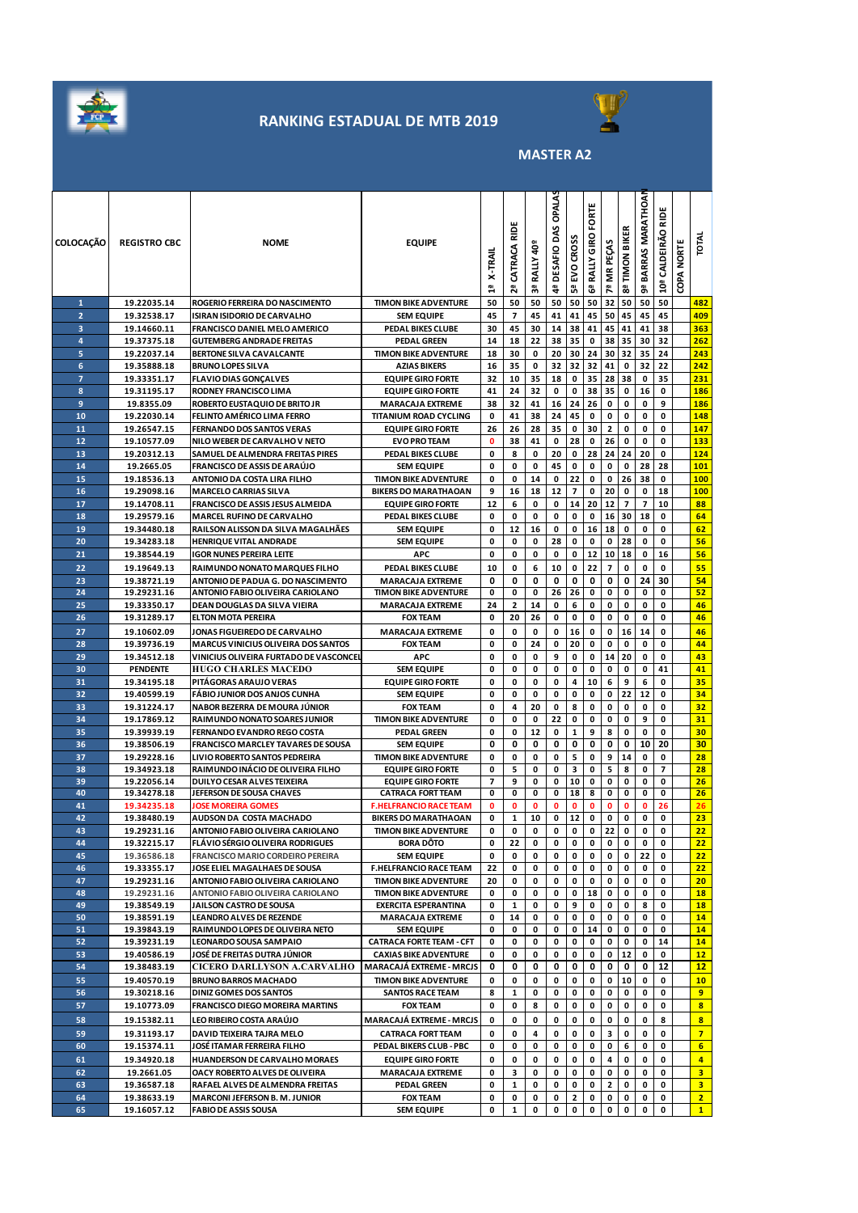

### **RANKING ESTADUAL DE MTB 2019**



**MASTER A2** 

| <b>COLOCAÇÃO</b> | <b>REGISTRO CBC</b>        | <b>NOME</b>                                                                          | <b>EQUIPE</b>                                                   | X-TRAIL<br>릡 | ᆴ<br>CATRACA<br>2ª       | ទី<br><b>RALLY</b><br>౻ | OPALAS<br>4ª DESAFIO DAS | EVO CROSS<br>ra<br>D | Ë<br>ğ<br><b>Gª RALLY GIRO</b> | 7ª MR PEÇAS              | 8ª TIMON BIKER | BARRAS MARATHOAN<br>შ | 읉<br>10ª CALDEIRÃO            | COPA NORTE | IOTAL                   |
|------------------|----------------------------|--------------------------------------------------------------------------------------|-----------------------------------------------------------------|--------------|--------------------------|-------------------------|--------------------------|----------------------|--------------------------------|--------------------------|----------------|-----------------------|-------------------------------|------------|-------------------------|
| 1                | 19.22035.14                | ROGERIO FERREIRA DO NASCIMENTO                                                       | <b>TIMON BIKE ADVENTURE</b>                                     | 50           | 50                       | 50                      | 50                       | 50                   | 50                             | 32                       | 50             | 50                    | 50                            |            | 482                     |
| $\overline{2}$   | 19.32538.17                | ISIRAN ISIDORIO DE CARVALHO                                                          | <b>SEM EQUIPE</b>                                               | 45           | $\overline{\phantom{a}}$ | 45                      | 41                       | 41                   | 45                             | 50                       | 45             | 45                    | 45                            |            | 409                     |
| 3                | 19.14660.11                | FRANCISCO DANIEL MELO AMERICO                                                        | PEDAL BIKES CLUBE                                               | 30           | 45                       | 30                      | 14                       | 38                   | 41                             | 45                       | 41             | 41                    | 38                            |            | 363                     |
| 4                | 19.37375.18                | <b>GUTEMBERG ANDRADE FREITAS</b>                                                     | <b>PEDAL GREEN</b>                                              | 14           | 18                       | 22                      | 38                       | 35                   | 0                              | 38                       | 35             | 30                    | 32                            |            | 262                     |
| 5                | 19.22037.14                | BERTONE SILVA CAVALCANTE                                                             | <b>TIMON BIKE ADVENTURE</b>                                     | 18           | 30                       | 0                       | 20                       | 30                   | 24                             | 30                       | 32             | 35                    | 24                            |            | 243                     |
| 6<br>7           | 19.35888.18                | <b>BRUNO LOPES SILVA</b>                                                             | <b>AZIAS BIKERS</b>                                             | 16<br>32     | 35                       | 0                       | 32                       | 32<br>0              | 32<br>35                       | 41<br>28                 | 0<br>38        | 32<br>0               | 22<br>35                      |            | 242<br>231              |
| 8                | 19.33351.17<br>19.31195.17 | <b>FLAVIO DIAS GONÇALVES</b><br>RODNEY FRANCISCO LIMA                                | <b>EQUIPE GIRO FORTE</b><br><b>EQUIPE GIRO FORTE</b>            | 41           | 10<br>24                 | 35<br>32                | 18<br>0                  | 0                    | 38                             | 35                       | 0              | 16                    | 0                             |            | 186                     |
| 9                | 19.8355.09                 | ROBERTO EUSTAQUIO DE BRITO JR                                                        | <b>MARACAJA EXTREME</b>                                         | 38           | 32                       | 41                      | 16                       | 24                   | 26                             | 0                        | 0              | 0                     | 9                             |            | 186                     |
| 10               | 19.22030.14                | FELINTO AMÉRICO LIMA FERRO                                                           | <b>TITANIUM ROAD CYCLING</b>                                    | 0            | 41                       | 38                      | 24                       | 45                   | 0                              | 0                        | 0              | 0                     | 0                             |            | 148                     |
| 11               | 19.26547.15                | <b>FERNANDO DOS SANTOS VERAS</b>                                                     | <b>EQUIPE GIRO FORTE</b>                                        | 26           | 26                       | 28                      | 35                       | 0                    | 30                             | $\mathbf{2}$             | 0              | 0                     | 0                             |            | 147                     |
| 12               | 19.10577.09                | NILO WEBER DE CARVALHO V NETO                                                        | <b>EVO PRO TEAM</b>                                             | $\mathbf 0$  | 38                       | 41                      | 0                        | 28                   | 0                              | 26                       | 0              | 0                     | 0                             |            | 133                     |
| 13               | 19.20312.13                | SAMUEL DE ALMENDRA FREITAS PIRES                                                     | PEDAL BIKES CLUBE                                               | 0            | 8                        | 0                       | 20                       | 0                    | 28                             | 24                       | 24             | 20                    | 0                             |            | 124                     |
| 14               | 19.2665.05                 | <b>FRANCISCO DE ASSIS DE ARAÚJO</b>                                                  | <b>SEM EQUIPE</b>                                               | 0            | 0                        | 0                       | 45                       | 0                    | 0                              | 0                        | 0              | 28                    | 28                            |            | 101                     |
| 15               | 19.18536.13                | ANTONIO DA COSTA LIRA FILHO                                                          | <b>TIMON BIKE ADVENTURE</b>                                     | 0            | 0                        | 14                      | 0                        | 22                   | 0                              | 0                        | 26             | 38                    | 0                             |            | 100                     |
| 16<br>17         | 19.29098.16<br>19.14708.11 | <b>MARCELO CARRIAS SILVA</b><br>FRANCISCO DE ASSIS JESUS ALMEIDA                     | <b>BIKERS DO MARATHAOAN</b><br><b>EQUIPE GIRO FORTE</b>         | 9<br>12      | 16<br>6                  | 18<br>0                 | 12<br>0                  | 7<br>14              | 0<br>20                        | 20<br>12                 | 0<br>7         | 0<br>$\overline{7}$   | 18<br>10                      |            | 100<br>88               |
| 18               | 19.29579.16                | <b>MARCEL RUFINO DE CARVALHO</b>                                                     | PEDAL BIKES CLUBE                                               | 0            | 0                        | 0                       | 0                        | 0                    | 0                              | 16                       | 30             | 18                    | 0                             |            | 64                      |
| 19               | 19.34480.18                | RAILSON ALISSON DA SILVA MAGALHÃES                                                   | <b>SEM EQUIPE</b>                                               | 0            | 12                       | 16                      | 0                        | 0                    | 16                             | 18                       | 0              | 0                     | 0                             |            | 62                      |
| 20               | 19.34283.18                | <b>HENRIQUE VITAL ANDRADE</b>                                                        | <b>SEM EQUIPE</b>                                               | 0            | 0                        | 0                       | 28                       | 0                    | 0                              | 0                        | 28             | 0                     | 0                             |            | 56                      |
| 21               | 19.38544.19                | IGOR NUNES PEREIRA LEITE                                                             | APC                                                             | 0            | 0                        | 0                       | 0                        | 0                    | 12                             | 10                       | 18             | 0                     | 16                            |            | 56                      |
| 22               | 19.19649.13                | RAIMUNDO NONATO MARQUES FILHO                                                        | PEDAL BIKES CLUBE                                               | 10           | 0                        | 6                       | 10                       | 0                    | 22                             | $\overline{\phantom{a}}$ | 0              | 0                     | 0                             |            | 55                      |
| 23               | 19.38721.19                | ANTONIO DE PADUA G. DO NASCIMENTO                                                    | <b>MARACAJA EXTREME</b>                                         | 0            | 0                        | 0                       | 0                        | 0                    | 0                              | 0                        | 0              | 24                    | 30                            |            | 54                      |
| 24               | 19.29231.16                | ANTONIO FABIO OLIVEIRA CARIOLANO                                                     | <b>TIMON BIKE ADVENTURE</b>                                     | 0            | 0                        | 0                       | 26                       | 26                   | 0                              | 0                        | 0              | 0                     | 0                             |            | 52                      |
| 25               | 19.33350.17                | DEAN DOUGLAS DA SILVA VIEIRA                                                         | <b>MARACAJA EXTREME</b>                                         | 24           | 2                        | 14                      | 0                        | 6                    | 0                              | 0                        | 0              | 0                     | 0                             |            | 46                      |
| 26               | 19.31289.17                | <b>ELTON MOTA PEREIRA</b>                                                            | <b>FOX TEAM</b>                                                 | 0            | 20                       | 26                      | 0                        | 0                    | 0                              | 0                        | 0              | 0                     | 0                             |            | 46                      |
| 27               | 19.10602.09                | JONAS FIGUEIREDO DE CARVALHO                                                         | <b>MARACAJA EXTREME</b>                                         | 0            | 0                        | 0                       | 0                        | 16                   | 0                              | 0                        | 16             | 14                    | 0                             |            | 46                      |
| 28<br>29         | 19.39736.19<br>19.34512.18 | <b>MARCUS VINICIUS OLIVEIRA DOS SANTOS</b><br>VINICIUS OLIVEIRA FURTADO DE VASCONCEL | <b>FOX TEAM</b><br><b>APC</b>                                   | 0<br>0       | 0<br>0                   | 24<br>0                 | 0<br>9                   | 20<br>0              | 0<br>0                         | 0<br>14                  | 0<br>20        | 0<br>0                | 0<br>0                        |            | 44<br>43                |
| 30               | <b>PENDENTE</b>            | <b>HUGO CHARLES MACEDO</b>                                                           | <b>SEM EQUIPE</b>                                               | 0            | 0                        | 0                       | 0                        | 0                    | 0                              | 0                        | 0              | 0                     | 41                            |            | 41                      |
| 31               | 19.34195.18                | PITAGORAS ARAUJO VERAS                                                               | <b>EQUIPE GIRO FORTE</b>                                        | 0            | 0                        | 0                       | 0                        | 4                    | 10                             | 6                        | 9              | 6                     | 0                             |            | 35                      |
| 32               | 19.40599.19                | <b>FABIO JUNIOR DOS ANJOS CUNHA</b>                                                  | <b>SEM EQUIPE</b>                                               | 0            | 0                        | 0                       | 0                        | 0                    | 0                              | 0                        | 22             | 12                    | 0                             |            | 34                      |
| 33               | 19.31224.17                | NABOR BEZERRA DE MOURA JÚNIOR                                                        | <b>FOX TEAM</b>                                                 | 0            | 4                        | 20                      | 0                        | 8                    | 0                              | 0                        | 0              | 0                     | 0                             |            | 32                      |
| 34               | 19.17869.12                | RAIMUNDO NONATO SOARES JUNIOR                                                        | <b>TIMON BIKE ADVENTURE</b>                                     | 0            | 0                        | 0                       | 22                       | 0                    | 0                              | 0                        | 0              | 9                     | 0                             |            | 31                      |
| 35               | 19.39939.19                | FERNANDO EVANDRO REGO COSTA                                                          | <b>PEDAL GREEN</b>                                              | 0            | 0                        | 12                      | 0                        | 1                    | 9                              | 8                        | 0              | 0                     | 0                             |            | 30                      |
| 36               | 19.38506.19                | <b>FRANCISCO MARCLEY TAVARES DE SOUSA</b>                                            | <b>SEM EQUIPE</b>                                               | 0            | 0                        | 0                       | 0                        | 0                    | 0                              | 0                        | 0              | 10                    | 20                            |            | 30                      |
| 37<br>38         | 19.29228.16<br>19.34923.18 | LIVIO ROBERTO SANTOS PEDREIRA<br>RAIMUNDO INÁCIO DE OLIVEIRA FILHO                   | <b>TIMON BIKE ADVENTURE</b>                                     | 0<br>0       | 0<br>5                   | 0<br>0                  | 0<br>0                   | 5<br>з               | 0<br>0                         | 9<br>5                   | 14<br>8        | 0<br>0                | 0<br>$\overline{\phantom{a}}$ |            | 28<br>28                |
| 39               | 19.22056.14                | DUILYO CESAR ALVES TEIXEIRA                                                          | <b>EQUIPE GIRO FORTE</b><br><b>EQUIPE GIRO FORTE</b>            | 7            | 9                        | 0                       | 0                        | 10                   | 0                              | 0                        | 0              | 0                     | 0                             |            | 26                      |
| 40               | 19.34278.18                | JEFERSON DE SOUSA CHAVES                                                             | <b>CATRACA FORT TEAM</b>                                        | 0            | 0                        | 0                       | 0                        | 18                   | 8                              | 0                        | 0              | 0                     | 0                             |            | 26                      |
| 41               | 19.34235.18                | <b>JOSE MOREIRA GOMES</b>                                                            | <b>F.HELFRANCIO RACE TEAM</b>                                   | 0            | 0                        | 0                       | 0                        | $\mathbf o$          | 0                              | 0                        | $\mathbf 0$    | 0                     | 26                            |            | 26                      |
| 42               | 19.38480.19                | AUDSON DA COSTA MACHADO                                                              | <b>BIKERS DO MARATHAOAN</b>                                     | 0            | 1                        | 10                      | 0                        | 12                   | 0                              | 0                        | 0              | 0                     | 0                             |            | 23                      |
| 43               | 19.29231.16                | ANTONIO FABIO OLIVEIRA CARIOLANO                                                     | <b>TIMON BIKE ADVENTURE</b>                                     | 0            | 0                        | 0                       | 0                        | $\mathbf 0$          | 0                              | 22                       | $\mathbf 0$    | $\mathbf 0$           | 0                             |            | 22                      |
| 44<br>45         | 19.32215.17                | <b>FLÁVIO SÉRGIO OLIVEIRA RODRIGUES</b>                                              | <b>BORA DÔTO</b>                                                | 0<br>0       | 22<br>0                  | 0<br>0                  | 0<br>0                   | 0                    | 0<br>0                         | 0                        | 0<br>0         | 0<br>22               | 0<br>0                        |            | 22                      |
| 46               | 19.36586.18<br>19.33355.17 | FRANCISCO MARIO CORDEIRO PEREIRA<br>JOSE ELIEL MAGALHAES DE SOUSA                    | <b>SEM EQUIPE</b><br><b>F.HELFRANCIO RACE TEAM</b>              | 22           | 0                        | 0                       | 0                        | 0<br>0               | 0                              | 0<br>0                   | 0              | 0                     | 0                             |            | 22<br>22 <sub>2</sub>   |
| 47               | 19.29231.16                | ANTONIO FABIO OLIVEIRA CARIOLANO                                                     | <b>TIMON BIKE ADVENTURE</b>                                     | 20           | 0                        | 0                       | 0                        | 0                    | 0                              | 0                        | 0              | 0                     | 0                             |            | 20 <sub>2</sub>         |
| 48               | 19.29231.16                | ANTONIO FABIO OLIVEIRA CARIOLANO                                                     | <b>TIMON BIKE ADVENTURE</b>                                     | 0            | 0                        | 0                       | 0                        | 0                    | 18                             | 0                        | 0              | 0                     | 0                             |            | 18                      |
| 49               | 19.38549.19                | JAILSON CASTRO DE SOUSA                                                              | <b>EXERCITA ESPERANTINA</b>                                     | 0            | 1                        | 0                       | 0                        | 9                    | 0                              | 0                        | 0              | 8                     | 0                             |            | 18                      |
| 50               | 19.38591.19                | <b>LEANDRO ALVES DE REZENDE</b>                                                      | <b>MARACAJA EXTREME</b>                                         | 0            | 14                       | 0                       | 0                        | 0                    | 0                              | 0                        | 0              | 0                     | 0                             |            | 14                      |
| 51               | 19.39843.19                | RAIMUNDO LOPES DE OLIVEIRA NETO                                                      | <b>SEM EQUIPE</b>                                               | 0            | 0                        | 0                       | 0                        | 0                    | 14                             | 0                        | 0              | 0                     | 0                             |            | 14                      |
| 52               | 19.39231.19                | LEONARDO SOUSA SAMPAIO                                                               | <b>CATRACA FORTE TEAM - CFT</b><br><b>CAXIAS BIKE ADVENTURE</b> | 0            | 0                        | 0                       | 0                        | 0                    | 0                              | 0                        | 0              | 0                     | 14                            |            | 14                      |
| 53<br>54         | 19.40586.19<br>19.38483.19 | JOSÉ DE FREITAS DUTRA JÚNIOR<br><b>CICERO DARLLYSON A.CARVALHO</b>                   | <b>MARACAJÁ EXTREME - MRCJS</b>                                 | 0<br>0       | 0<br>0                   | 0<br>0                  | 0<br>0                   | 0<br>0               | 0<br>0                         | 0<br>0                   | 12<br>0        | 0<br>0                | 0<br>12                       |            | 12 <sub>2</sub><br>12   |
| 55               | 19.40570.19                | <b>BRUNO BARROS MACHADO</b>                                                          | <b>TIMON BIKE ADVENTURE</b>                                     | 0            | 0                        | 0                       | 0                        | 0                    | 0                              | 0                        | 10             | 0                     | 0                             |            | 10 <sub>1</sub>         |
| 56               | 19.30218.16                | <b>DINIZ GOMES DOS SANTOS</b>                                                        | <b>SANTOS RACE TEAM</b>                                         | 8            | 1                        | 0                       | 0                        | 0                    | 0                              | 0                        | 0              | 0                     | 0                             |            | 9                       |
| 57               | 19.10773.09                | <b>FRANCISCO DIEGO MOREIRA MARTINS</b>                                               | <b>FOX TEAM</b>                                                 | 0            | 0                        | 8                       | 0                        | 0                    | 0                              | 0                        | 0              | 0                     | 0                             |            | 8 <sup>2</sup>          |
| 58               | 19.15382.11                | LEO RIBEIRO COSTA ARAÚJO                                                             | MARACAJÁ EXTREME - MRCJS                                        | 0            | 0                        | 0                       | 0                        | 0                    | 0                              | 0                        | 0              | 0                     | 8                             |            | $\overline{\mathbf{8}}$ |
| 59               | 19.31193.17                | DAVID TEIXEIRA TAJRA MELO                                                            | <b>CATRACA FORT TEAM</b>                                        | 0            | 0                        | 4                       | 0                        | 0                    | 0                              | 3                        | 0              | $\mathbf 0$           | 0                             |            | $\overline{7}$          |
| 60               | 19.15374.11                | JOSÉ ITAMAR FERREIRA FILHO                                                           | PEDAL BIKERS CLUB - PBC                                         | 0            | 0                        | 0                       | 0                        | 0                    | 0                              | 0                        | 6              | 0                     | 0                             |            | 6                       |
| 61               | 19.34920.18                | <b>HUANDERSON DE CARVALHO MORAES</b>                                                 | <b>EQUIPE GIRO FORTE</b>                                        | 0            | 0                        | 0                       | 0                        | 0                    | 0                              | 4                        | 0              | $\mathbf 0$           | 0                             |            | $\overline{4}$          |
| 62               | 19.2661.05                 | OACY ROBERTO ALVES DE OLIVEIRA                                                       | <b>MARACAJA EXTREME</b>                                         | 0            | з                        | 0                       | 0                        | 0                    | 0                              | 0                        | 0              | 0                     | 0                             |            | 3                       |
| 63               | 19.36587.18                | RAFAEL ALVES DE ALMENDRA FREITAS                                                     | <b>PEDAL GREEN</b>                                              | 0            | 1                        | 0                       | 0                        | 0                    | 0                              | 2                        | 0              | 0                     | 0                             |            | 3 <sup>7</sup>          |
| 64<br>65         | 19.38633.19<br>19.16057.12 | <b>MARCONI JEFERSON B. M. JUNIOR</b><br><b>FABIO DE ASSIS SOUSA</b>                  | <b>FOX TEAM</b><br><b>SEM EQUIPE</b>                            | 0<br>0       | 0<br>1                   | 0<br>0                  | 0<br>0                   | 2<br>0               | 0<br>0                         | 0<br>0                   | 0<br>0         | 0<br>0                | 0<br>0                        |            | 2 <sup>2</sup><br>1     |
|                  |                            |                                                                                      |                                                                 |              |                          |                         |                          |                      |                                |                          |                |                       |                               |            |                         |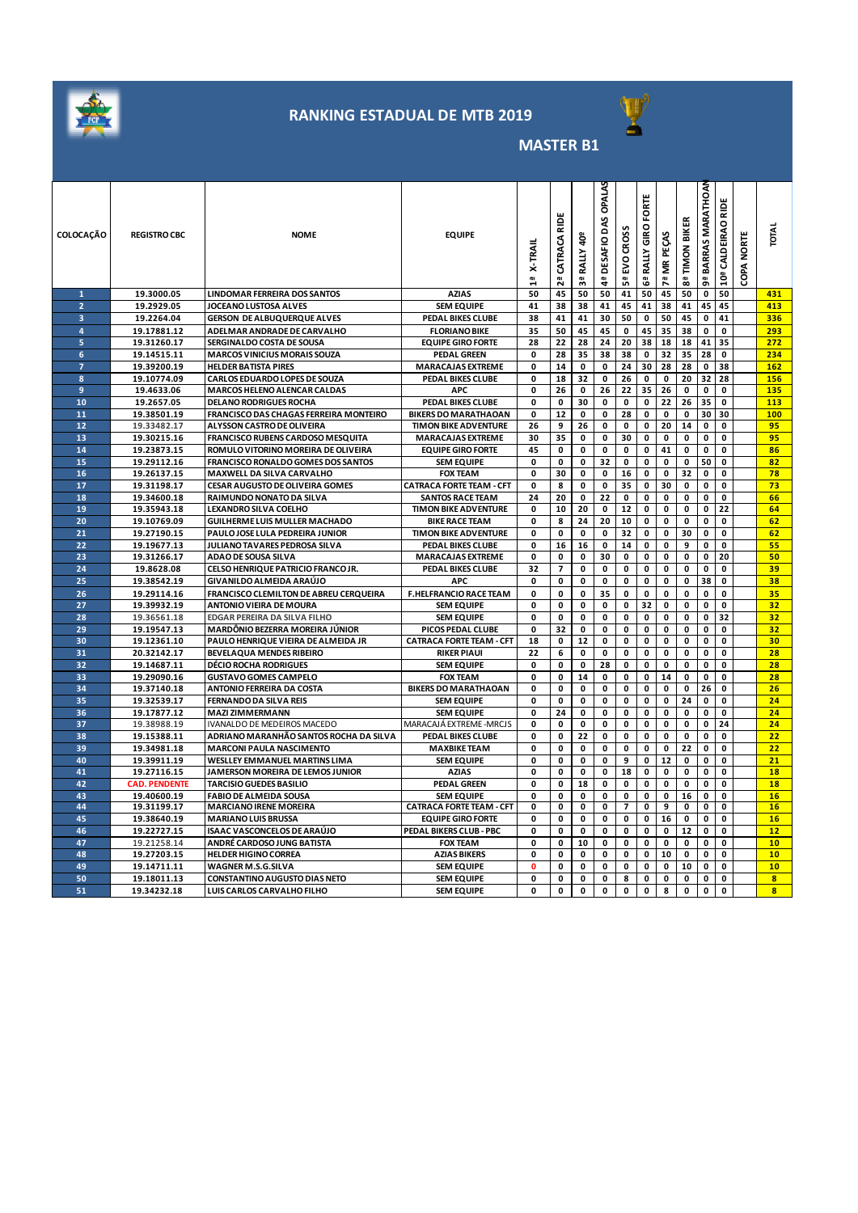

# **RANKING ESTADUAL DE MTB 2019**



### **MASTER B1**

| <b>COLOCAÇÃO</b>        | <b>REGISTRO CBC</b>        | <b>NOME</b>                                                               | <b>EQUIPE</b>                            | <b>X-TRAI</b><br>읩 | 읉<br>CATRACA<br>29 | ទី<br>RALLY<br>찂 | <b>OPALA</b><br>DAS<br>DESAFIO<br>á. | <b>CROSS</b><br>5<br>S<br>ង | FORTE<br>RALLY GIRO<br>ෂී | MR PEÇAS<br>$\overline{7}$ <sup>2</sup> | 8ª TIMON BIKER | BARRAS MARATHOAI<br>å, | RIDE<br>10ª CALDEIRAO | COPA NORTE | <b>TOTAL</b>            |
|-------------------------|----------------------------|---------------------------------------------------------------------------|------------------------------------------|--------------------|--------------------|------------------|--------------------------------------|-----------------------------|---------------------------|-----------------------------------------|----------------|------------------------|-----------------------|------------|-------------------------|
| $\mathbf{1}$            | 19.3000.05                 | <b>LINDOMAR FERREIRA DOS SANTOS</b>                                       | <b>AZIAS</b>                             | 50                 | 45                 | 50               | 50                                   | 41                          | 50                        | 45                                      | 50             | $\mathbf 0$            | 50                    |            | 431                     |
| $\overline{a}$          | 19.2929.05                 | JOCEANO LUSTOSA ALVES                                                     | <b>SEM EQUIPE</b>                        | 41                 | 38                 | 38               | 41                                   | 45                          | 41                        | 38                                      | 41             | 45                     | 45                    |            | 413                     |
| $\overline{\mathbf{3}}$ | 19.2264.04                 | <b>GERSON DE ALBUQUERQUE ALVES</b>                                        | PEDAL BIKES CLUBE                        | 38                 | 41                 | 41               | 30                                   | 50                          | 0                         | 50                                      | 45             | 0                      | 41                    |            | 336                     |
| 4                       | 19.17881.12                | ADELMAR ANDRADE DE CARVALHO                                               | <b>FLORIANO BIKE</b>                     | 35                 | 50                 | 45               | 45                                   | 0                           | 45                        | 35                                      | 38             | 0                      | $\mathbf 0$           |            | 293                     |
| 5                       | 19.31260.17                | SERGINALDO COSTA DE SOUSA                                                 | <b>EQUIPE GIRO FORTE</b>                 | 28                 | 22                 | 28               | 24                                   | 20                          | 38                        | 18                                      | 18             | 41                     | 35                    |            | 272                     |
| 6                       | 19.14515.11                | <b>MARCOS VINICIUS MORAIS SOUZA</b>                                       | <b>PEDAL GREEN</b>                       | 0                  | 28                 | 35               | 38                                   | 38                          | 0                         | 32                                      | 35             | 28                     | 0                     |            | 234                     |
| $\overline{z}$          | 19.39200.19                | <b>HELDER BATISTA PIRES</b>                                               | <b>MARACAJAS EXTREME</b>                 | 0                  | 14                 | 0                | 0                                    | 24                          | 30                        | 28                                      | 28             | 0                      | 38                    |            | 162                     |
| 8                       | 19.10774.09                | CARLOS EDUARDO LOPES DE SOUZA                                             | PEDAL BIKES CLUBE                        | 0                  | 18                 | 32               | 0                                    | 26                          | 0                         | 0                                       | 20             | 32                     | 28                    |            | 156                     |
| 9                       | 19.4633.06                 | <b>MARCOS HELENO ALENCAR CALDAS</b>                                       | <b>APC</b>                               | 0                  | 26                 | 0                | 26                                   | 22                          | 35                        | 26                                      | 0              | 0                      | 0                     |            | 135                     |
| 10                      | 19.2657.05                 | <b>DELANO RODRIGUES ROCHA</b>                                             | PEDAL BIKES CLUBE                        | 0                  | 0                  | 30               | 0                                    | 0                           | 0                         | 22                                      | 26             | 35                     | 0                     |            | 113                     |
| 11                      | 19.38501.19                | FRANCISCO DAS CHAGAS FERREIRA MONTEIRO                                    | <b>BIKERS DO MARATHAOAN</b>              | 0                  | 12                 | 0                | 0                                    | 28                          | 0                         | 0                                       | 0              | 30                     | 30                    |            | 100                     |
| 12                      | 19.33482.17                | ALYSSON CASTRO DE OLIVEIRA                                                | <b>TIMON BIKE ADVENTURE</b>              | 26                 | 9                  | 26               | 0                                    | 0                           | 0                         | 20                                      | 14             | 0                      | 0                     |            | 95                      |
| 13                      | 19.30215.16                | FRANCISCO RUBENS CARDOSO MESQUITA                                         | <b>MARACAJAS EXTREME</b>                 | 30                 | 35                 | 0                | 0                                    | 30                          | 0                         | 0                                       | 0              | 0                      | 0                     |            | 95                      |
| 14                      | 19.23873.15                | ROMULO VITORINO MOREIRA DE OLIVEIRA                                       | <b>EQUIPE GIRO FORTE</b>                 | 45                 | 0                  | 0                | 0                                    | 0                           | 0                         | 41                                      | 0              | 0                      | 0                     |            | 86                      |
| 15                      | 19.29112.16                | FRANCISCO RONALDO GOMES DOS SANTOS                                        | <b>SEM EQUIPE</b>                        | $\mathbf 0$        | 0                  | 0                | 32                                   | 0                           | 0                         | 0                                       | 0              | 50                     | 0                     |            | 82                      |
| 16                      | 19.26137.15                | MAXWELL DA SILVA CARVALHO                                                 | <b>FOX TEAM</b>                          | 0                  | 30                 | 0                | 0                                    | 16                          | 0                         | 0                                       | 32             | 0                      | 0                     |            | 78                      |
| 17                      | 19.31198.17                | <b>CESAR AUGUSTO DE OLIVEIRA GOMES</b>                                    | <b>CATRACA FORTE TEAM - CFT</b>          | 0                  | 8                  | 0                | 0                                    | 35                          | 0                         | 30                                      | 0              | 0                      | 0                     |            | 73                      |
| 18                      | 19.34600.18                | RAIMUNDO NONATO DA SILVA                                                  | <b>SANTOS RACE TEAM</b>                  | 24                 | 20                 | 0                | 22                                   | 0                           | 0                         | 0                                       | 0              | 0                      | 0                     |            | 66                      |
| 19                      | 19.35943.18                | LEXANDRO SILVA COELHO                                                     | <b>TIMON BIKE ADVENTURE</b>              | 0                  | 10                 | 20               | 0                                    | 12                          | 0                         | 0                                       | 0              | 0                      | 22                    |            | 64                      |
| 20                      | 19.10769.09                | GUILHERME LUIS MULLER MACHADO                                             | <b>BIKE RACE TEAM</b>                    | 0                  | 8                  | 24               | 20                                   | 10                          | 0                         | 0                                       | 0              | 0                      | 0                     |            | 62                      |
| 21                      | 19.27190.15                | PAULO JOSE LULA PEDREIRA JUNIOR                                           | <b>TIMON BIKE ADVENTURE</b>              | 0                  | 0                  | $\pmb{0}$        | 0                                    | 32                          | $\pmb{0}$                 | $\pmb{0}$                               | 30             | 0                      | 0                     |            | 62                      |
| 22                      | 19.19677.13                | JULIANO TAVARES PEDROSA SILVA                                             | PEDAL BIKES CLUBE                        | 0                  | 16                 | 16               | 0                                    | 14                          | 0                         | 0                                       | 9              | 0                      | 0                     |            | 55                      |
| 23                      | 19.31266.17                | ADAO DE SOUSA SILVA                                                       | <b>MARACAJAS EXTREME</b>                 | 0                  | 0                  | 0                | 30                                   | 0                           | 0                         | 0                                       | 0              | 0                      | 20                    |            | 50                      |
| 24                      | 19.8628.08                 | CELSO HENRIQUE PATRICIO FRANCO JR.                                        | PEDAL BIKES CLUBE                        | 32                 | 7                  | 0                | 0                                    | 0                           | 0                         | 0                                       | 0              | 0                      | 0                     |            | 39                      |
| 25                      | 19.38542.19                | GIVANILDO ALMEIDA ARAÚJO                                                  | <b>APC</b>                               | 0                  | 0                  | 0                | 0                                    | 0                           | 0                         | 0                                       | 0              | 38                     | 0                     |            | 38                      |
| 26                      | 19.29114.16                | FRANCISCO CLEMILTON DE ABREU CERQUEIRA                                    | <b>F.HELFRANCIO RACE TEAM</b>            | $\mathbf 0$        | $\mathbf 0$        | 0                | 35                                   | 0                           | 0                         | $\pmb{0}$                               | $\pmb{0}$      | $\pmb{\mathsf{o}}$     | 0                     |            | 35                      |
| 27                      | 19.39932.19                | <b>ANTONIO VIEIRA DE MOURA</b>                                            | <b>SEM EQUIPE</b>                        | 0                  | 0                  | 0                | 0                                    | 0                           | 32                        | 0                                       | 0              | 0                      | $\mathbf 0$           |            | 32                      |
| 28                      | 19.36561.18                | EDGAR PEREIRA DA SILVA FILHO                                              | <b>SEM EQUIPE</b>                        | $\mathbf 0$        | 0                  | $\mathbf 0$      | $\mathbf 0$                          | 0                           | 0                         | 0                                       | 0              | 0                      | 32                    |            | 32                      |
| 29                      | 19.19547.13                | MARDÔNIO BEZERRA MOREIRA JÚNIOR                                           | PICOS PEDAL CLUBE                        | 0                  | 32                 | 0                | 0                                    | 0                           | 0                         | 0                                       | 0              | 0                      | 0                     |            | 32                      |
| 30                      | 19.12361.10                | PAULO HENRIQUE VIEIRA DE ALMEIDA JR                                       | <b>CATRACA FORTE TEAM - CFT</b>          | 18                 | $\pmb{0}$          | 12               | $\pmb{0}$                            | 0                           | 0                         | 0                                       | 0              | 0                      | 0                     |            | 30 <sub>2</sub>         |
| 31                      | 20.32142.17                | <b>BEVELAQUA MENDES RIBEIRO</b>                                           | <b>RIKER PIAUI</b>                       | 22                 | 6                  | 0                | 0                                    | 0                           | 0                         | 0                                       | 0              | 0                      | 0                     |            | 28                      |
| 32                      | 19.14687.11                | <b>DÉCIO ROCHA RODRIGUES</b>                                              | <b>SEM EQUIPE</b>                        | 0                  | 0                  | 0                | 28                                   | 0                           | 0                         | $\pmb{0}$                               | 0              | 0                      | 0                     |            | 28                      |
| 33                      | 19.29090.16                | <b>GUSTAVO GOMES CAMPELO</b>                                              | <b>FOX TEAM</b>                          | 0                  | 0                  | 14               | 0                                    | 0                           | 0                         | 14                                      | 0              | 0                      | 0                     |            | 28                      |
| 34                      | 19.37140.18                | ANTONIO FERREIRA DA COSTA                                                 | <b>BIKERS DO MARATHAOAN</b>              | 0                  | 0                  | 0                | 0                                    | 0                           | 0                         | 0                                       | 0              | 26                     | 0                     |            | 26                      |
| 35                      | 19.32539.17                | FERNANDO DA SILVA REIS                                                    | <b>SEM EQUIPE</b>                        | 0                  | 0                  | 0                | 0                                    | 0                           | 0                         | 0                                       | 24             | 0                      | 0                     |            | 24                      |
| 36                      | 19.17877.12                | <b>MAZI ZIMMERMANN</b>                                                    | <b>SEM EQUIPE</b>                        | 0                  | 24                 | 0                | 0                                    | 0                           | 0                         | 0                                       | 0              | 0                      | 0                     |            | 24                      |
| 37<br>38                | 19.38988.19<br>19.15388.11 | IVANALDO DE MEDEIROS MACEDO                                               | MARACAJÁ EXTREME - MRCJS                 | 0<br>0             | 0                  | 0                | 0                                    | 0                           | 0                         | 0                                       | 0              | 0                      | 24<br>0               |            | 24<br>22                |
| 39                      | 19.34981.18                | ADRIANO MARANHÃO SANTOS ROCHA DA SILVA<br><b>MARCONI PAULA NASCIMENTO</b> | PEDAL BIKES CLUBE<br><b>MAXBIKE TEAM</b> | 0                  | 0<br>0             | 22<br>0          | 0<br>0                               | 0<br>0                      | 0<br>0                    | 0<br>0                                  | 0<br>22        | 0<br>0                 | 0                     |            | 22                      |
| 40                      | 19.39911.19                | <b>WESLLEY EMMANUEL MARTINS LIMA</b>                                      | <b>SEM EQUIPE</b>                        | 0                  | 0                  | 0                | 0                                    | 9                           | 0                         | 12                                      | 0              | 0                      | 0                     |            | 21                      |
| 41                      | 19.27116.15                | JAMERSON MOREIRA DE LEMOS JUNIOR                                          | <b>AZIAS</b>                             | 0                  | 0                  | 0                | 0                                    | 18                          | 0                         | 0                                       | 0              | 0                      | 0                     |            | 18                      |
| 42                      | <b>CAD. PENDENTE</b>       | <b>TARCISIO GUEDES BASILIO</b>                                            | <b>PEDAL GREEN</b>                       | 0                  | 0                  | 18               | 0                                    | 0                           | 0                         | 0                                       | 0              | 0                      | 0                     |            | 18                      |
| 43                      | 19.40600.19                | <b>FABIO DE ALMEIDA SOUSA</b>                                             | <b>SEM EQUIPE</b>                        | 0                  | 0                  | 0                | 0                                    | 0                           | 0                         | 0                                       | 16             | 0                      | 0                     |            | 16                      |
| 44                      | 19.31199.17                | <b>MARCIANO IRENE MOREIRA</b>                                             | <b>CATRACA FORTE TEAM - CFT</b>          | 0                  | 0                  | 0                | 0                                    | 7                           | 0                         | 9                                       | 0              | 0                      | 0                     |            | 16                      |
| 45                      | 19.38640.19                | <b>MARIANO LUIS BRUSSA</b>                                                | <b>EQUIPE GIRO FORTE</b>                 | 0                  | 0                  | 0                | 0                                    | 0                           | 0                         | 16                                      | 0              | 0                      | 0                     |            | 16                      |
| 46                      | 19.22727.15                | ISAAC VASCONCELOS DE ARAÚJO                                               | PEDAL BIKERS CLUB - PBC                  | 0                  | 0                  | 0                | 0                                    | 0                           | 0                         | 0                                       | 12             | 0                      | 0                     |            | 12                      |
| 47                      | 19.21258.14                | ANDRÉ CARDOSO JUNG BATISTA                                                | <b>FOX TEAM</b>                          | 0                  | 0                  | 10               | 0                                    | 0                           | 0                         | 0                                       | 0              | 0                      | 0                     |            | 10                      |
| 48                      | 19.27203.15                | <b>HELDER HIGINO CORREA</b>                                               | <b>AZIAS BIKERS</b>                      | 0                  | 0                  | 0                | 0                                    | 0                           | 0                         | 10                                      | 0              | 0                      | 0                     |            | 10                      |
| 49                      | 19.14711.11                | WAGNER M.S.G.SILVA                                                        | <b>SEM EQUIPE</b>                        | 0                  | 0                  | 0                | 0                                    | 0                           | 0                         | 0                                       | 10             | 0                      | 0                     |            | 10                      |
| 50                      | 19.18011.13                | <b>CONSTANTINO AUGUSTO DIAS NETO</b>                                      | <b>SEM EQUIPE</b>                        | 0                  | 0                  | 0                | 0                                    | 8                           | 0                         | 0                                       | 0              | 0                      | 0                     |            | $\overline{\mathbf{8}}$ |
| 51                      | 19.34232.18                | LUIS CARLOS CARVALHO FILHO                                                | <b>SEM EQUIPE</b>                        | 0                  | 0                  | 0                | 0                                    | 0                           | 0                         | 8                                       | 0              | 0                      | 0                     |            | $\overline{\mathbf{8}}$ |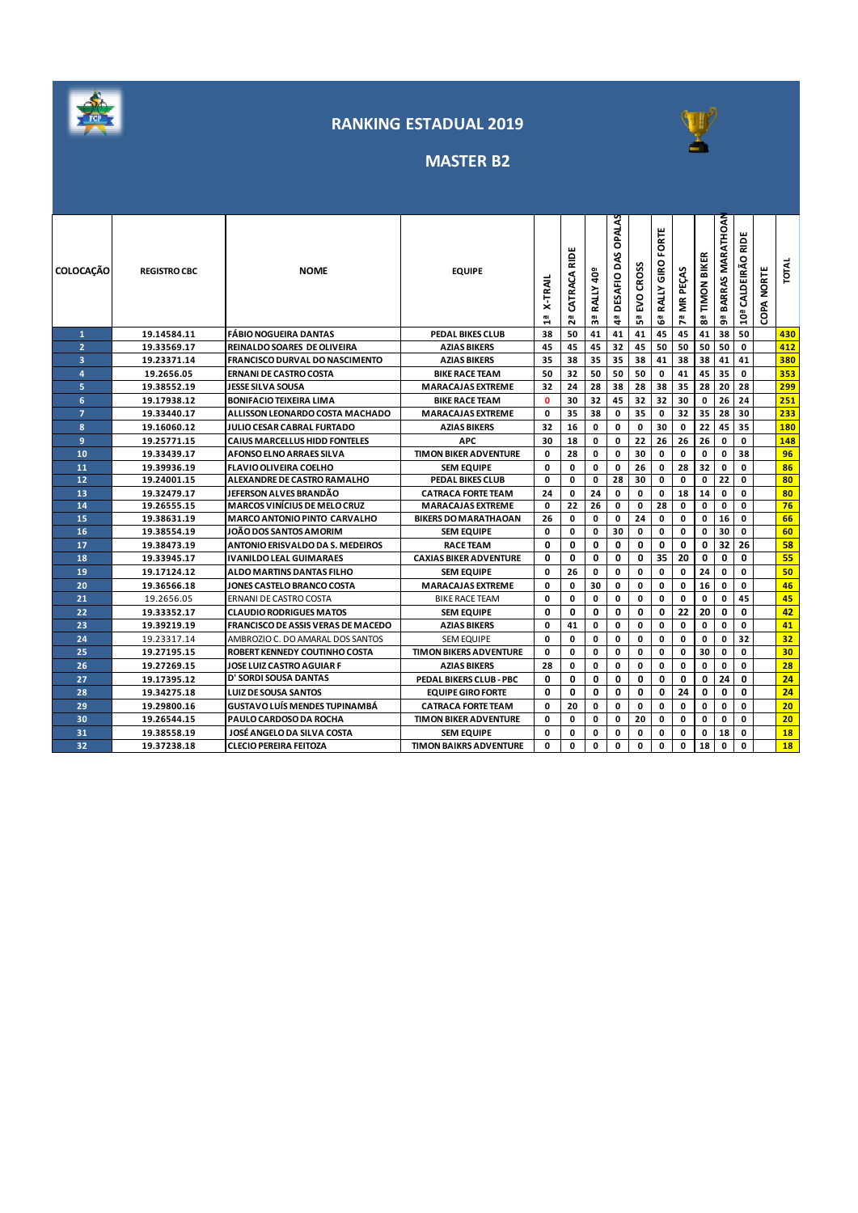



# **MASTER B2**

| <b>COLOCAÇÃO</b> | <b>REGISTRO CBC</b> | <b>NOME</b>                               | <b>EQUIPE</b>                 | <b>X-TRAIL</b> | CATRACA RIDE<br>29 | RALLY 40 <sup>º</sup><br>59 | OPALAS<br>DAS<br>DESAFIO<br>4 | <b>CROSS</b><br>50<br>ងី | FORTE<br>GIRO<br><b>RALLY</b><br>ఴఀ | 7ª MR PEÇAS | 8ª TIMON BIKER | 9ª BARRAS MARATHOAN | RIDE<br>CALDEIRÃO<br>10ª | <b>COPA NORTE</b> | <b>TOTAL</b> |
|------------------|---------------------|-------------------------------------------|-------------------------------|----------------|--------------------|-----------------------------|-------------------------------|--------------------------|-------------------------------------|-------------|----------------|---------------------|--------------------------|-------------------|--------------|
| $\mathbf{1}$     | 19.14584.11         | <b>FÁBIO NOGUEIRA DANTAS</b>              | PEDAL BIKES CLUB              | 38             | 50                 | 41                          | 41                            | 41                       | 45                                  | 45          | 41             | 38                  | 50                       |                   | 430          |
| $\overline{2}$   | 19.33569.17         | <b>REINALDO SOARES DE OLIVEIRA</b>        | <b>AZIAS BIKERS</b>           | 45             | 45                 | 45                          | 32                            | 45                       | 50                                  | 50          | 50             | 50                  | $\mathbf 0$              |                   | 412          |
| 3                | 19.23371.14         | <b>FRANCISCO DURVAL DO NASCIMENTO</b>     | <b>AZIAS BIKERS</b>           | 35             | 38                 | 35                          | 35                            | 38                       | 41                                  | 38          | 38             | 41                  | 41                       |                   | 380          |
| $\overline{a}$   | 19.2656.05          | <b>ERNANI DE CASTRO COSTA</b>             | <b>BIKE RACE TEAM</b>         | 50             | 32                 | 50                          | 50                            | 50                       | 0                                   | 41          | 45             | 35                  | 0                        |                   | 353          |
| 5                | 19.38552.19         | <b>JESSE SILVA SOUSA</b>                  | <b>MARACAJAS EXTREME</b>      | 32             | 24                 | 28                          | 38                            | 28                       | 38                                  | 35          | 28             | 20                  | 28                       |                   | 299          |
| 6                | 19.17938.12         | <b>BONIFACIO TEIXEIRA LIMA</b>            | <b>BIKE RACE TEAM</b>         | $\mathbf{0}$   | 30                 | 32                          | 45                            | 32                       | 32                                  | 30          | $\mathbf 0$    | 26                  | 24                       |                   | 251          |
| $\overline{7}$   | 19.33440.17         | ALLISSON LEONARDO COSTA MACHADO           | <b>MARACAJAS EXTREME</b>      | 0              | 35                 | 38                          | 0                             | 35                       | 0                                   | 32          | 35             | 28                  | 30                       |                   | 233          |
| 8                | 19.16060.12         | JULIO CESAR CABRAL FURTADO                | <b>AZIAS BIKERS</b>           | 32             | 16                 | 0                           | 0                             | 0                        | 30                                  | 0           | 22             | 45                  | 35                       |                   | 180          |
| 9                | 19.25771.15         | <b>CAIUS MARCELLUS HIDD FONTELES</b>      | <b>APC</b>                    | 30             | 18                 | 0                           | 0                             | 22                       | 26                                  | 26          | 26             | 0                   | 0                        |                   | 148          |
| 10               | 19.33439.17         | AFONSO ELNO ARRAES SILVA                  | <b>TIMON BIKER ADVENTURE</b>  | 0              | 28                 | 0                           | $\mathbf 0$                   | 30                       | 0                                   | $\mathbf 0$ | $\mathbf 0$    | 0                   | 38                       |                   | 96           |
| 11               | 19.39936.19         | <b>FLAVIO OLIVEIRA COELHO</b>             | <b>SEM EQUIPE</b>             | 0              | 0                  | 0                           | $\mathbf 0$                   | 26                       | 0                                   | 28          | 32             | 0                   | 0                        |                   | 86           |
| 12               | 19.24001.15         | ALEXANDRE DE CASTRO RAMALHO               | PEDAL BIKES CLUB              | $\mathbf{0}$   | 0                  | 0                           | 28                            | 30                       | 0                                   | 0           | 0              | 22                  | 0                        |                   | 80           |
| 13               | 19.32479.17         | JEFERSON ALVES BRANDÃO                    | <b>CATRACA FORTE TEAM</b>     | 24             | 0                  | 24                          | 0                             | 0                        | 0                                   | 18          | 14             | 0                   | 0                        |                   | 80           |
| 14               | 19.26555.15         | <b>MARCOS VINÍCIUS DE MELO CRUZ</b>       | <b>MARACAJAS EXTREME</b>      | $\mathbf{0}$   | 22                 | 26                          | $\mathbf 0$                   | 0                        | 28                                  | $\mathbf 0$ | 0              | 0                   | 0                        |                   | 76           |
| 15               | 19.38631.19         | <b>MARCO ANTONIO PINTO CARVALHO</b>       | <b>BIKERS DO MARATHAOAN</b>   | 26             | 0                  | 0                           | $\mathbf 0$                   | 24                       | 0                                   | $\mathbf 0$ | 0              | 16                  | 0                        |                   | 66           |
| 16               | 19.38554.19         | <b>JOÃO DOS SANTOS AMORIM</b>             | <b>SEM EQUIPE</b>             | $\mathbf{0}$   | 0                  | 0                           | 30                            | 0                        | 0                                   | 0           | $\mathbf 0$    | 30                  | 0                        |                   | 60           |
| 17               | 19.38473.19         | ANTONIO ERISVALDO DA S. MEDEIROS          | <b>RACE TEAM</b>              | 0              | 0                  | 0                           | 0                             | 0                        | 0                                   | 0           | 0              | 32                  | 26                       |                   | 58           |
| 18               | 19.33945.17         | <b>IVANILDO LEAL GUIMARAES</b>            | <b>CAXIAS BIKER ADVENTURE</b> | 0              | 0                  | 0                           | 0                             | 0                        | 35                                  | 20          | 0              | 0                   | 0                        |                   | 55           |
| 19               | 19.17124.12         | ALDO MARTINS DANTAS FILHO                 | <b>SEM EQUIPE</b>             | 0              | 26                 | 0                           | 0                             | 0                        | 0                                   | 0           | 24             | 0                   | 0                        |                   | 50           |
| 20               | 19.36566.18         | JONES CASTELO BRANCO COSTA                | <b>MARACAJAS EXTREME</b>      | 0              | 0                  | 30                          | $\mathbf 0$                   | 0                        | 0                                   | $\mathbf 0$ | 16             | 0                   | 0                        |                   | 46           |
| 21               | 19.2656.05          | ERNANI DE CASTRO COSTA                    | <b>BIKE RACE TEAM</b>         | 0              | 0                  | 0                           | $\mathbf 0$                   | 0                        | 0                                   | $\mathbf 0$ | $\mathbf 0$    | 0                   | 45                       |                   | 45           |
| 22               | 19.33352.17         | <b>CLAUDIO RODRIGUES MATOS</b>            | <b>SEM EQUIPE</b>             | 0              | 0                  | 0                           | 0                             | 0                        | 0                                   | 22          | 20             | 0                   | 0                        |                   | 42           |
| 23               | 19.39219.19         | <b>FRANCISCO DE ASSIS VERAS DE MACEDO</b> | <b>AZIAS BIKERS</b>           | 0              | 41                 | 0                           | 0                             | 0                        | 0                                   | 0           | 0              | 0                   | 0                        |                   | 41           |
| 24               | 19.23317.14         | AMBROZIO C. DO AMARAL DOS SANTOS          | <b>SEM EQUIPE</b>             | 0              | 0                  | 0                           | 0                             | 0                        | 0                                   | $\mathbf 0$ | 0              | 0                   | 32                       |                   | 32           |
| 25               | 19.27195.15         | <b>ROBERT KENNEDY COUTINHO COSTA</b>      | <b>TIMON BIKERS ADVENTURE</b> | 0              | 0                  | 0                           | 0                             | 0                        | 0                                   | 0           | 30             | 0                   | 0                        |                   | 30           |
| 26               | 19.27269.15         | <b>JOSE LUIZ CASTRO AGUIAR F</b>          | <b>AZIAS BIKERS</b>           | 28             | 0                  | 0                           | $\mathbf 0$                   | 0                        | 0                                   | 0           | $\mathbf 0$    | 0                   | 0                        |                   | 28           |
| 27               | 19.17395.12         | D' SORDI SOUSA DANTAS                     | PEDAL BIKERS CLUB - PBC       | 0              | 0                  | 0                           | $\mathbf 0$                   | 0                        | 0                                   | 0           | 0              | 24                  | 0                        |                   | 24           |
| 28               | 19.34275.18         | <b>LUIZ DE SOUSA SANTOS</b>               | <b>EQUIPE GIRO FORTE</b>      | 0              | 0                  | 0                           | $\mathbf 0$                   | 0                        | 0                                   | 24          | 0              | 0                   | 0                        |                   | 24           |
| 29               | 19.29800.16         | <b>GUSTAVO LUÍS MENDES TUPINAMBÁ</b>      | <b>CATRACA FORTE TEAM</b>     | 0              | 20                 | 0                           | 0                             | 0                        | 0                                   | 0           | 0              | 0                   | 0                        |                   | 20           |
| 30               | 19.26544.15         | PAULO CARDOSO DA ROCHA                    | <b>TIMON BIKER ADVENTURE</b>  | 0              | 0                  | 0                           | 0                             | 20                       | 0                                   | 0           | $\mathbf 0$    | 0                   | 0                        |                   | 20           |
| 31               | 19.38558.19         | JOSÉ ANGELO DA SILVA COSTA                | <b>SEM EQUIPE</b>             | 0              | 0                  | 0                           | 0                             | 0                        | 0                                   | 0           | 0              | 18                  | 0                        |                   | 18           |
| 32               | 19.37238.18         | CLECIO PEREIRA FEITOZA                    | <b>TIMON BAIKRS ADVENTURE</b> | $\Omega$       | O                  | $\mathbf 0$                 | $\mathbf{0}$                  | 0                        | 0                                   | 0           | 18             | 0                   | 0                        |                   | 18           |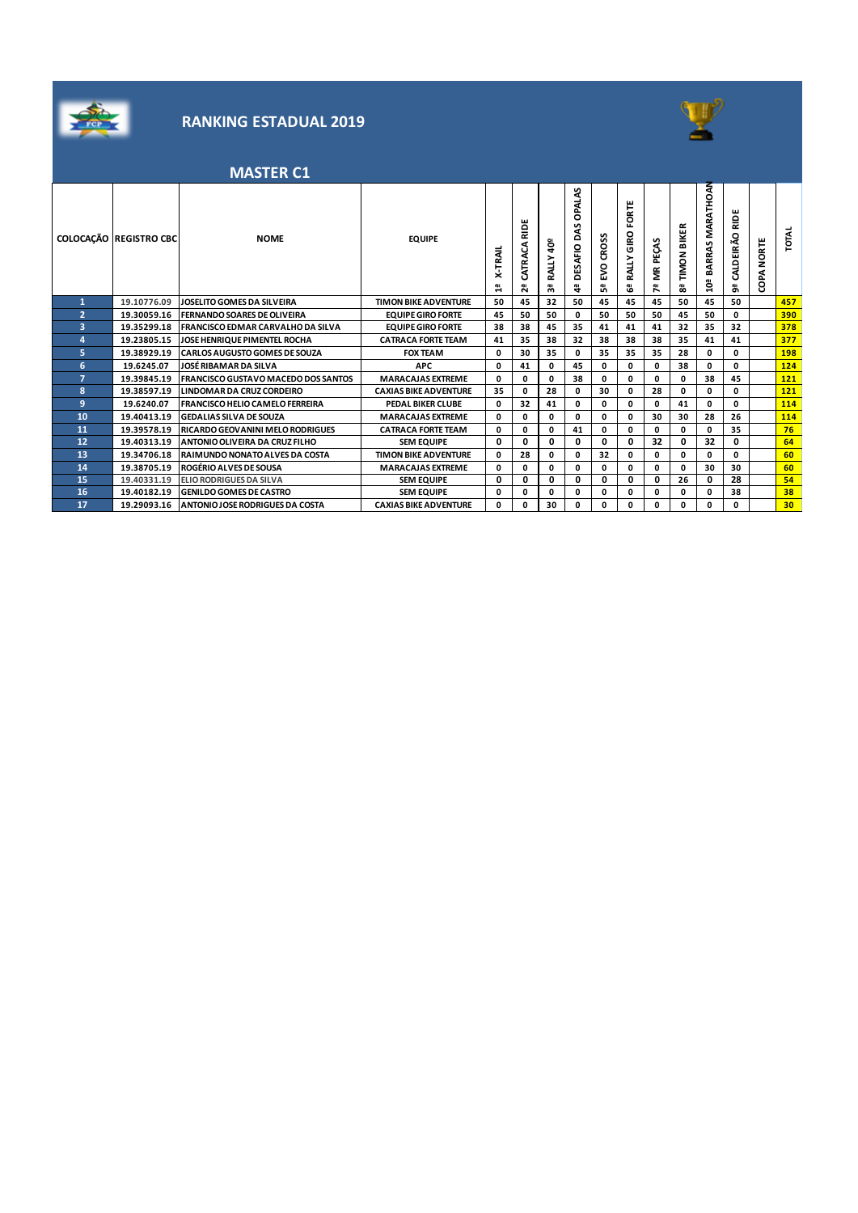



# **MASTER C1**

|                         | COLOCAÇÃO REGISTRO CBC | <b>NOME</b>                                | <b>EQUIPE</b>                | -TRAIL<br>×<br>σı<br>$\mathbf -$ | ш<br>Ξ<br>CATRACA<br>ωı<br>$\sim$ | ទី<br><b>RALLY</b><br>w | OPALAS<br>S<br>۵<br>ESAFIO<br>۵<br><b>GI</b><br>4 | CROSS<br>εv.<br>ů, | FORTE<br>GIRO<br>RALLY<br>යී | PEÇAS<br>Ĕ<br>Œ1<br>∼ | <b>BIKER</b><br>TIMON<br>89 | MARATHOAN<br>BARRAS<br><u>ត្ន</u> | €<br>CALDEIRÃO<br>å, | ORTE<br>ż<br>දි | <b>TOTAL</b> |
|-------------------------|------------------------|--------------------------------------------|------------------------------|----------------------------------|-----------------------------------|-------------------------|---------------------------------------------------|--------------------|------------------------------|-----------------------|-----------------------------|-----------------------------------|----------------------|-----------------|--------------|
| 1                       | 19.10776.09            | JOSELITO GOMES DA SILVEIRA                 | <b>TIMON BIKE ADVENTURE</b>  | 50                               | 45                                | 32                      | 50                                                | 45                 | 45                           | 45                    | 50                          | 45                                | 50                   |                 | 457          |
| $\overline{2}$          | 19.30059.16            | <b>FERNANDO SOARES DE OLIVEIRA</b>         | <b>EQUIPE GIRO FORTE</b>     | 45                               | 50                                | 50                      | 0                                                 | 50                 | 50                           | 50                    | 45                          | 50                                | 0                    |                 | 390          |
| $\overline{\mathbf{3}}$ | 19.35299.18            | <b>FRANCISCO EDMAR CARVALHO DA SILVA</b>   | <b>EQUIPE GIRO FORTE</b>     | 38                               | 38                                | 45                      | 35                                                | 41                 | 41                           | 41                    | 32                          | 35                                | 32                   |                 | 378          |
| $\overline{a}$          | 19.23805.15            | JOSE HENRIQUE PIMENTEL ROCHA               | <b>CATRACA FORTE TEAM</b>    | 41                               | 35                                | 38                      | 32                                                | 38                 | 38                           | 38                    | 35                          | 41                                | 41                   |                 | 377          |
| 5                       | 19.38929.19            | <b>CARLOS AUGUSTO GOMES DE SOUZA</b>       | <b>FOX TEAM</b>              | 0                                | 30                                | 35                      | 0                                                 | 35                 | 35                           | 35                    | 28                          | 0                                 | 0                    |                 | 198          |
| 6                       | 19.6245.07             | JOSÉ RIBAMAR DA SILVA                      | <b>APC</b>                   | 0                                | 41                                | 0                       | 45                                                | 0                  | 0                            | 0                     | 38                          | 0                                 | 0                    |                 | 124          |
| 7                       | 19.39845.19            | <b>FRANCISCO GUSTAVO MACEDO DOS SANTOS</b> | <b>MARACAJAS EXTREME</b>     | 0                                | 0                                 | 0                       | 38                                                | 0                  | 0                            | 0                     | 0                           | 38                                | 45                   |                 | 121          |
| 8                       | 19.38597.19            | <b>LINDOMAR DA CRUZ CORDEIRO</b>           | <b>CAXIAS BIKE ADVENTURE</b> | 35                               | 0                                 | 28                      | 0                                                 | 30                 | 0                            | 28                    | 0                           | 0                                 | 0                    |                 | 121          |
| 9                       | 19.6240.07             | <b>FRANCISCO HELIO CAMELO FERREIRA</b>     | <b>PEDAL BIKER CLUBE</b>     | 0                                | 32                                | 41                      | 0                                                 | 0                  | 0                            | 0                     | 41                          | 0                                 | 0                    |                 | 114          |
| 10                      | 19.40413.19            | <b>GEDALIAS SILVA DE SOUZA</b>             | <b>MARACAJAS EXTREME</b>     | 0                                | 0                                 | 0                       | 0                                                 | 0                  | 0                            | 30                    | 30                          | 28                                | 26                   |                 | 114          |
| 11                      | 19.39578.19            | <b>RICARDO GEOVANINI MELO RODRIGUES</b>    | <b>CATRACA FORTE TEAM</b>    | 0                                | 0                                 | 0                       | 41                                                | 0                  | 0                            | 0                     | 0                           | 0                                 | 35                   |                 | 76           |
| 12                      | 19.40313.19            | <b>ANTONIO OLIVEIRA DA CRUZ FILHO</b>      | <b>SEM EQUIPE</b>            | 0                                | 0                                 | 0                       | 0                                                 | 0                  | 0                            | 32                    | 0                           | 32                                | 0                    |                 | 64           |
| 13                      | 19.34706.18            | RAIMUNDO NONATO ALVES DA COSTA             | <b>TIMON BIKE ADVENTURE</b>  | 0                                | 28                                | 0                       | 0                                                 | 32                 | 0                            | 0                     | 0                           | 0                                 | 0                    |                 | 60           |
| 14                      | 19.38705.19            | <b>ROGÉRIO ALVES DE SOUSA</b>              | <b>MARACAJAS EXTREME</b>     | 0                                | 0                                 | 0                       | 0                                                 | 0                  | 0                            | 0                     | 0                           | 30                                | 30                   |                 | 60           |
| 15                      | 19.40331.19            | <b>ELIO RODRIGUES DA SILVA</b>             | <b>SEM EQUIPE</b>            | 0                                | 0                                 | 0                       | 0                                                 | 0                  | 0                            | 0                     | 26                          | 0                                 | 28                   |                 | 54           |
| 16                      | 19.40182.19            | <b>GENILDO GOMES DE CASTRO</b>             | <b>SEM EQUIPE</b>            | 0                                | 0                                 | 0                       | 0                                                 | 0                  | 0                            | 0                     | 0                           | 0                                 | 38                   |                 | 38           |
| 17                      | 19.29093.16            | <b>ANTONIO JOSE RODRIGUES DA COSTA</b>     | <b>CAXIAS BIKE ADVENTURE</b> | 0                                | 0                                 | 30                      | 0                                                 | 0                  | 0                            | 0                     | 0                           | O                                 | 0                    |                 | 30           |